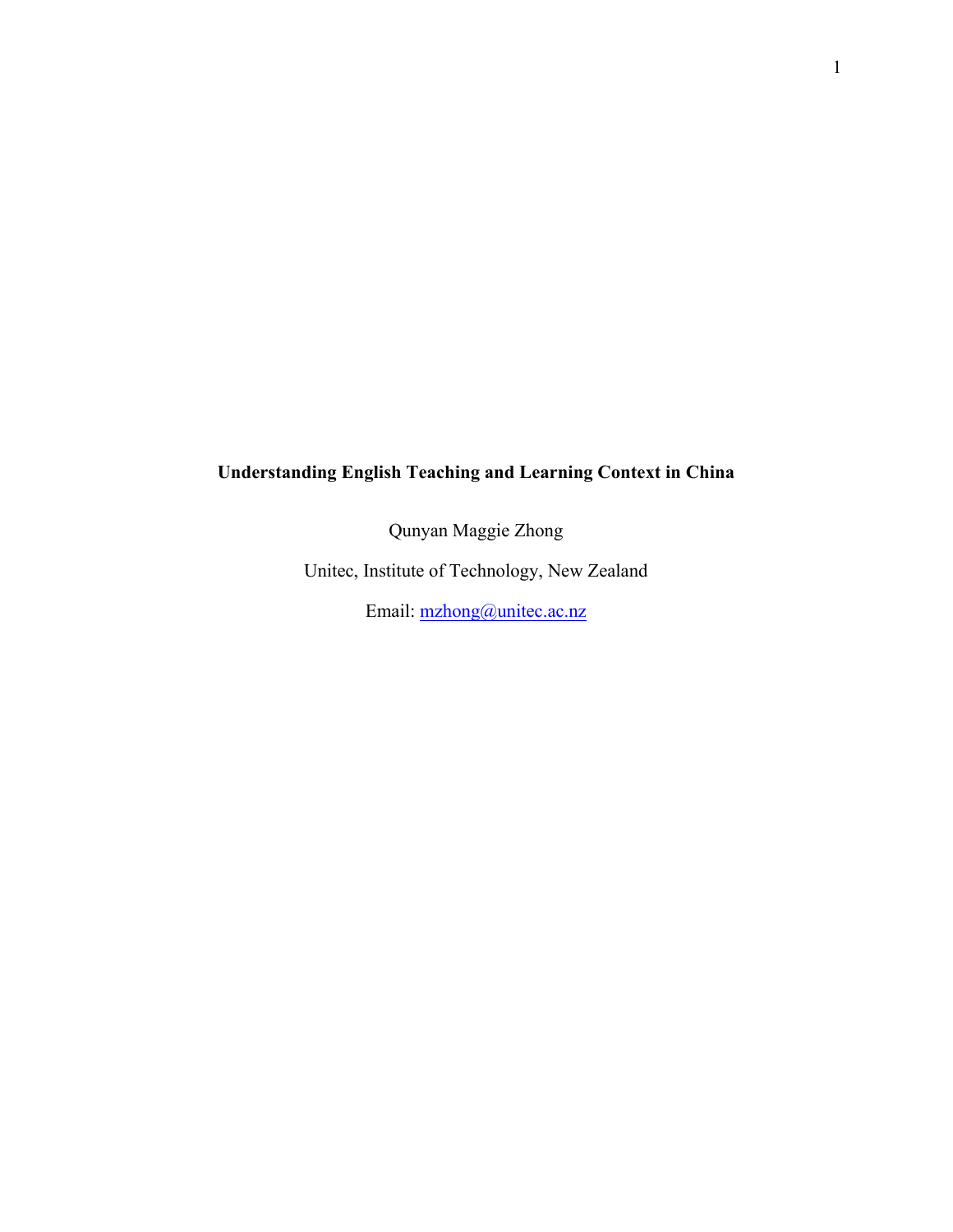# **Understanding English Teaching and Learning Context in China**

Qunyan Maggie Zhong

Unitec, Institute of Technology, New Zealand

Email: mzhong@unitec.ac.nz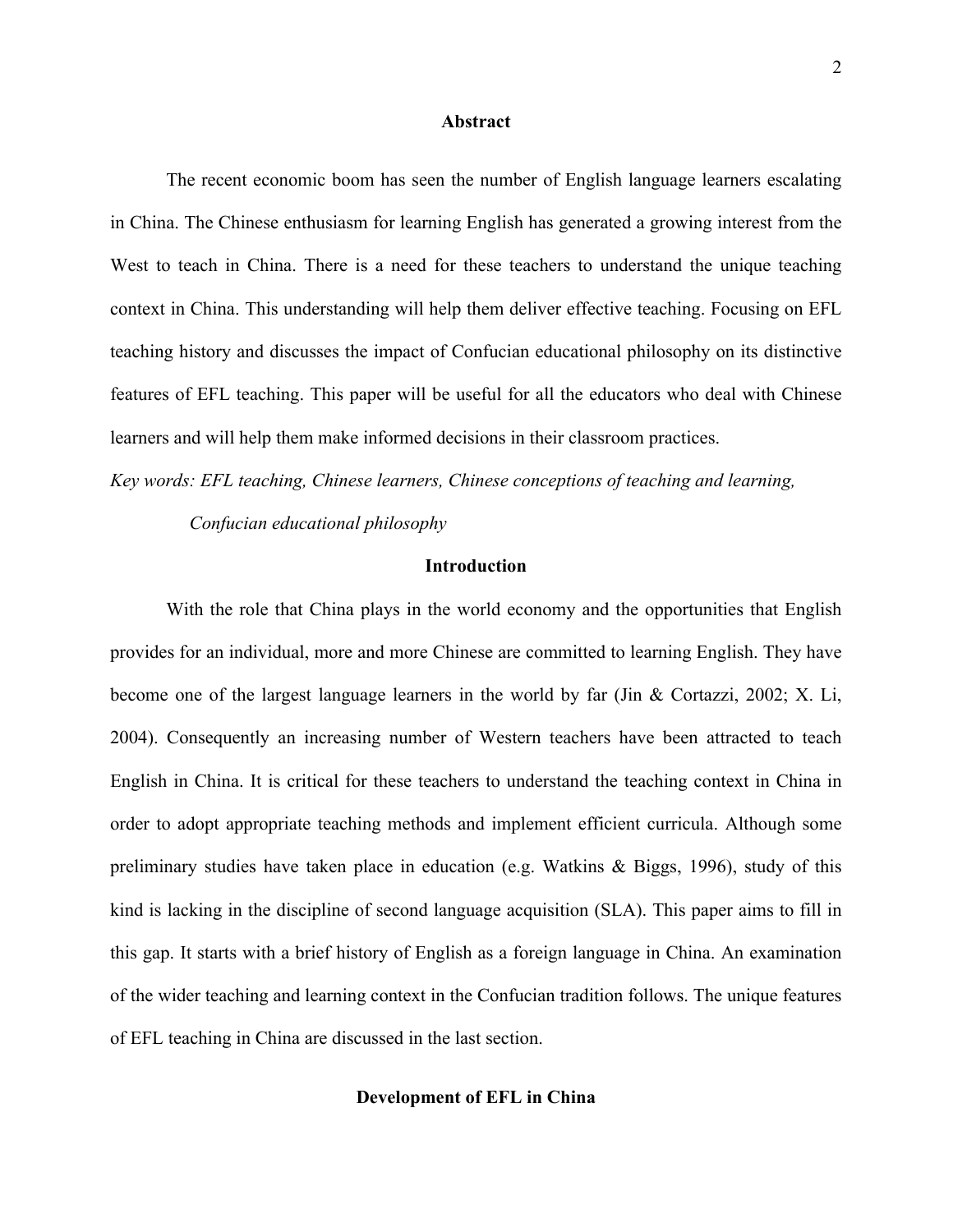#### **Abstract**

The recent economic boom has seen the number of English language learners escalating in China. The Chinese enthusiasm for learning English has generated a growing interest from the West to teach in China. There is a need for these teachers to understand the unique teaching context in China. This understanding will help them deliver effective teaching. Focusing on EFL teaching history and discusses the impact of Confucian educational philosophy on its distinctive features of EFL teaching. This paper will be useful for all the educators who deal with Chinese learners and will help them make informed decisions in their classroom practices.

*Key words: EFL teaching, Chinese learners, Chinese conceptions of teaching and learning,*

 *Confucian educational philosophy* 

# **Introduction**

With the role that China plays in the world economy and the opportunities that English provides for an individual, more and more Chinese are committed to learning English. They have become one of the largest language learners in the world by far (Jin & Cortazzi, 2002; X. Li, 2004). Consequently an increasing number of Western teachers have been attracted to teach English in China. It is critical for these teachers to understand the teaching context in China in order to adopt appropriate teaching methods and implement efficient curricula. Although some preliminary studies have taken place in education (e.g. Watkins & Biggs, 1996), study of this kind is lacking in the discipline of second language acquisition (SLA). This paper aims to fill in this gap. It starts with a brief history of English as a foreign language in China. An examination of the wider teaching and learning context in the Confucian tradition follows. The unique features of EFL teaching in China are discussed in the last section.

#### **Development of EFL in China**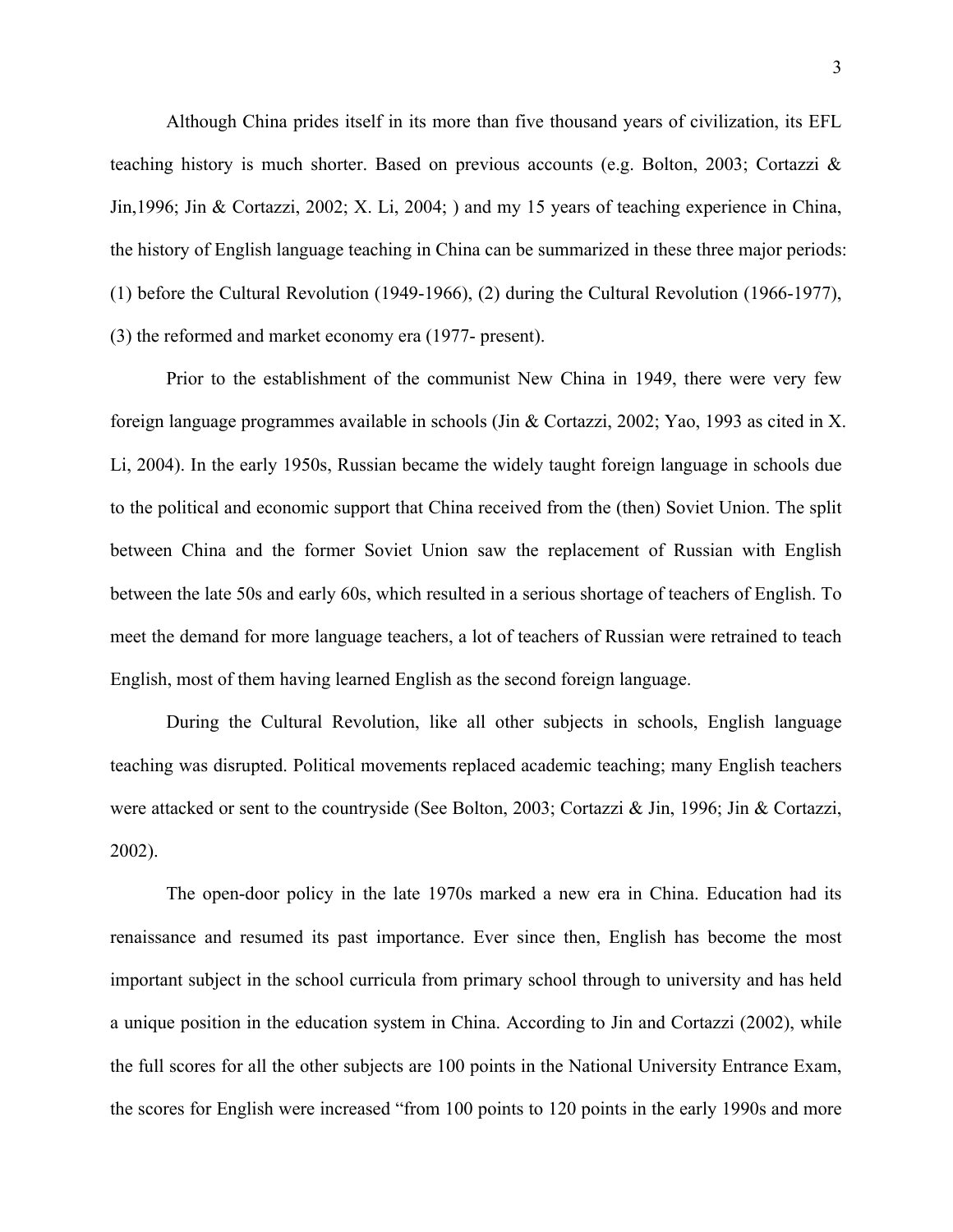Although China prides itself in its more than five thousand years of civilization, its EFL teaching history is much shorter. Based on previous accounts (e.g. Bolton, 2003; Cortazzi & Jin,1996; Jin & Cortazzi, 2002; X. Li, 2004; ) and my 15 years of teaching experience in China, the history of English language teaching in China can be summarized in these three major periods: (1) before the Cultural Revolution (1949-1966), (2) during the Cultural Revolution (1966-1977), (3) the reformed and market economy era (1977- present).

Prior to the establishment of the communist New China in 1949, there were very few foreign language programmes available in schools (Jin & Cortazzi, 2002; Yao, 1993 as cited in X. Li, 2004). In the early 1950s, Russian became the widely taught foreign language in schools due to the political and economic support that China received from the (then) Soviet Union. The split between China and the former Soviet Union saw the replacement of Russian with English between the late 50s and early 60s, which resulted in a serious shortage of teachers of English. To meet the demand for more language teachers, a lot of teachers of Russian were retrained to teach English, most of them having learned English as the second foreign language.

During the Cultural Revolution, like all other subjects in schools, English language teaching was disrupted. Political movements replaced academic teaching; many English teachers were attacked or sent to the countryside (See Bolton, 2003; Cortazzi & Jin, 1996; Jin & Cortazzi, 2002).

The open-door policy in the late 1970s marked a new era in China. Education had its renaissance and resumed its past importance. Ever since then, English has become the most important subject in the school curricula from primary school through to university and has held a unique position in the education system in China. According to Jin and Cortazzi (2002), while the full scores for all the other subjects are 100 points in the National University Entrance Exam, the scores for English were increased "from 100 points to 120 points in the early 1990s and more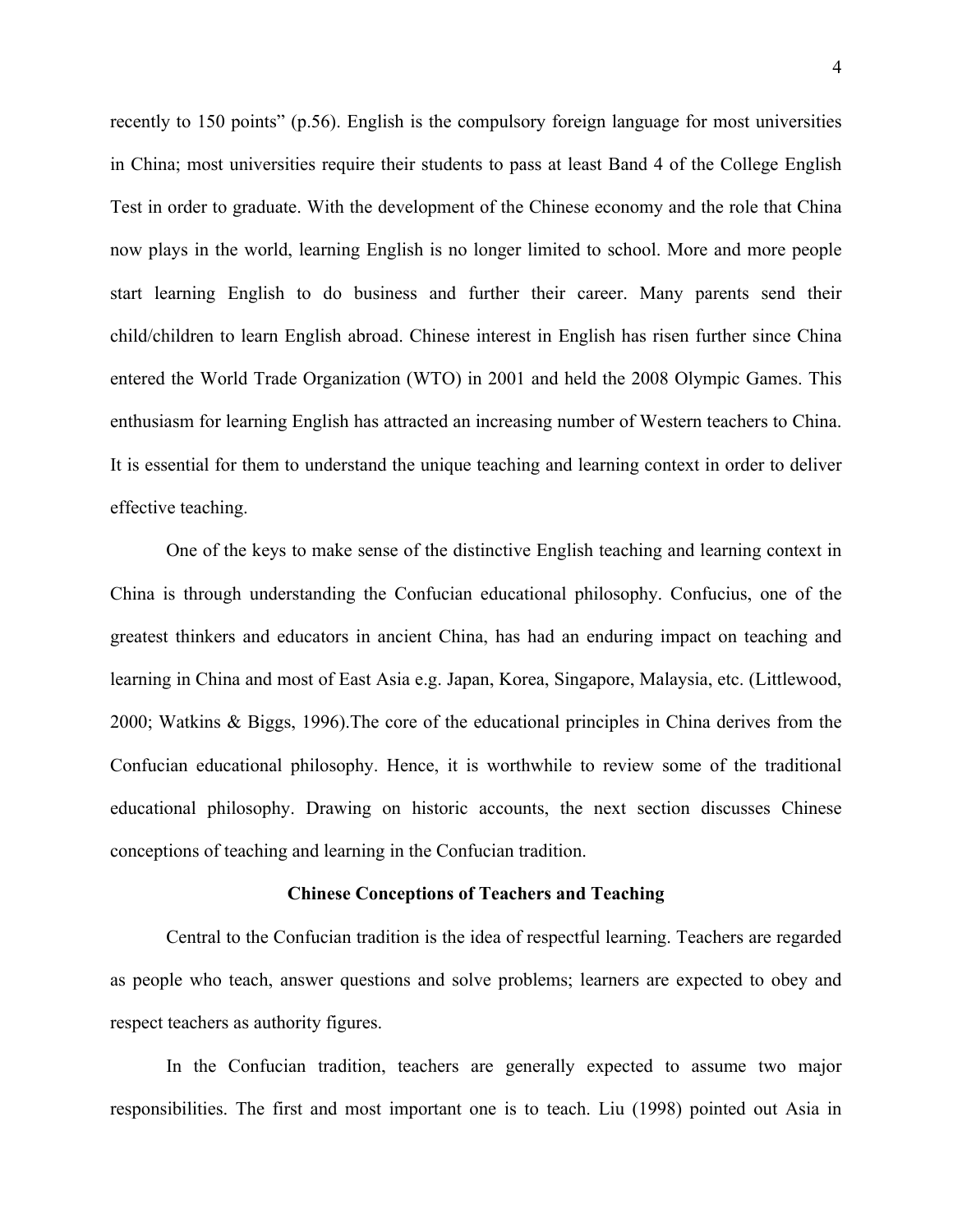recently to 150 points" (p.56). English is the compulsory foreign language for most universities in China; most universities require their students to pass at least Band 4 of the College English Test in order to graduate. With the development of the Chinese economy and the role that China now plays in the world, learning English is no longer limited to school. More and more people start learning English to do business and further their career. Many parents send their child/children to learn English abroad. Chinese interest in English has risen further since China entered the World Trade Organization (WTO) in 2001 and held the 2008 Olympic Games. This enthusiasm for learning English has attracted an increasing number of Western teachers to China. It is essential for them to understand the unique teaching and learning context in order to deliver effective teaching.

One of the keys to make sense of the distinctive English teaching and learning context in China is through understanding the Confucian educational philosophy. Confucius, one of the greatest thinkers and educators in ancient China, has had an enduring impact on teaching and learning in China and most of East Asia e.g. Japan, Korea, Singapore, Malaysia, etc. (Littlewood, 2000; Watkins & Biggs, 1996).The core of the educational principles in China derives from the Confucian educational philosophy. Hence, it is worthwhile to review some of the traditional educational philosophy. Drawing on historic accounts, the next section discusses Chinese conceptions of teaching and learning in the Confucian tradition.

#### **Chinese Conceptions of Teachers and Teaching**

Central to the Confucian tradition is the idea of respectful learning. Teachers are regarded as people who teach, answer questions and solve problems; learners are expected to obey and respect teachers as authority figures.

In the Confucian tradition, teachers are generally expected to assume two major responsibilities. The first and most important one is to teach. Liu (1998) pointed out Asia in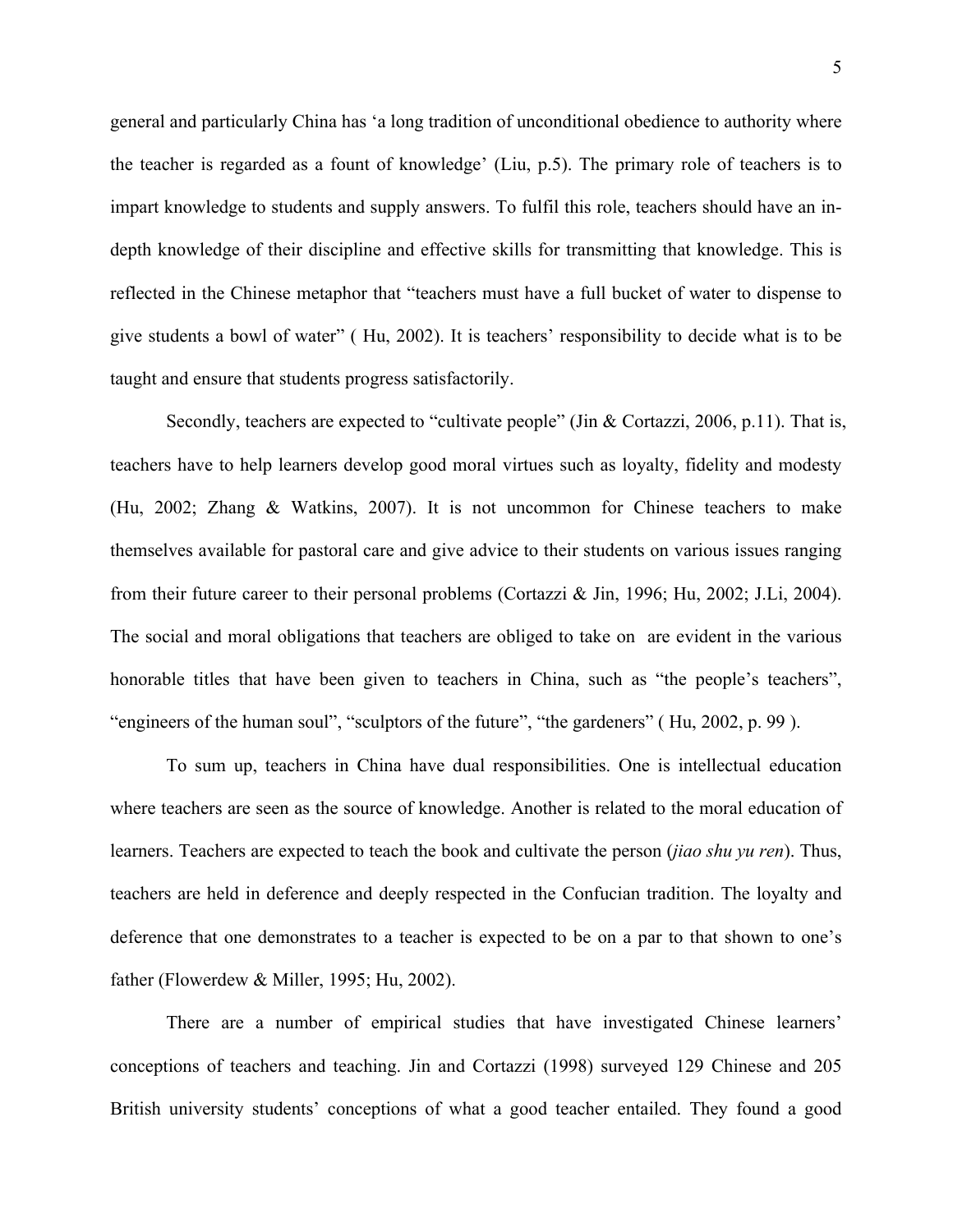general and particularly China has 'a long tradition of unconditional obedience to authority where the teacher is regarded as a fount of knowledge' (Liu, p.5). The primary role of teachers is to impart knowledge to students and supply answers. To fulfil this role, teachers should have an indepth knowledge of their discipline and effective skills for transmitting that knowledge. This is reflected in the Chinese metaphor that "teachers must have a full bucket of water to dispense to give students a bowl of water" ( Hu, 2002). It is teachers' responsibility to decide what is to be taught and ensure that students progress satisfactorily.

Secondly, teachers are expected to "cultivate people" (Jin & Cortazzi, 2006, p.11). That is, teachers have to help learners develop good moral virtues such as loyalty, fidelity and modesty (Hu, 2002; Zhang & Watkins, 2007). It is not uncommon for Chinese teachers to make themselves available for pastoral care and give advice to their students on various issues ranging from their future career to their personal problems (Cortazzi & Jin, 1996; Hu, 2002; J.Li, 2004). The social and moral obligations that teachers are obliged to take on are evident in the various honorable titles that have been given to teachers in China, such as "the people's teachers", "engineers of the human soul", "sculptors of the future", "the gardeners" ( Hu, 2002, p. 99 ).

To sum up, teachers in China have dual responsibilities. One is intellectual education where teachers are seen as the source of knowledge. Another is related to the moral education of learners. Teachers are expected to teach the book and cultivate the person (*jiao shu yu ren*). Thus, teachers are held in deference and deeply respected in the Confucian tradition. The loyalty and deference that one demonstrates to a teacher is expected to be on a par to that shown to one's father (Flowerdew & Miller, 1995; Hu, 2002).

There are a number of empirical studies that have investigated Chinese learners' conceptions of teachers and teaching. Jin and Cortazzi (1998) surveyed 129 Chinese and 205 British university students' conceptions of what a good teacher entailed. They found a good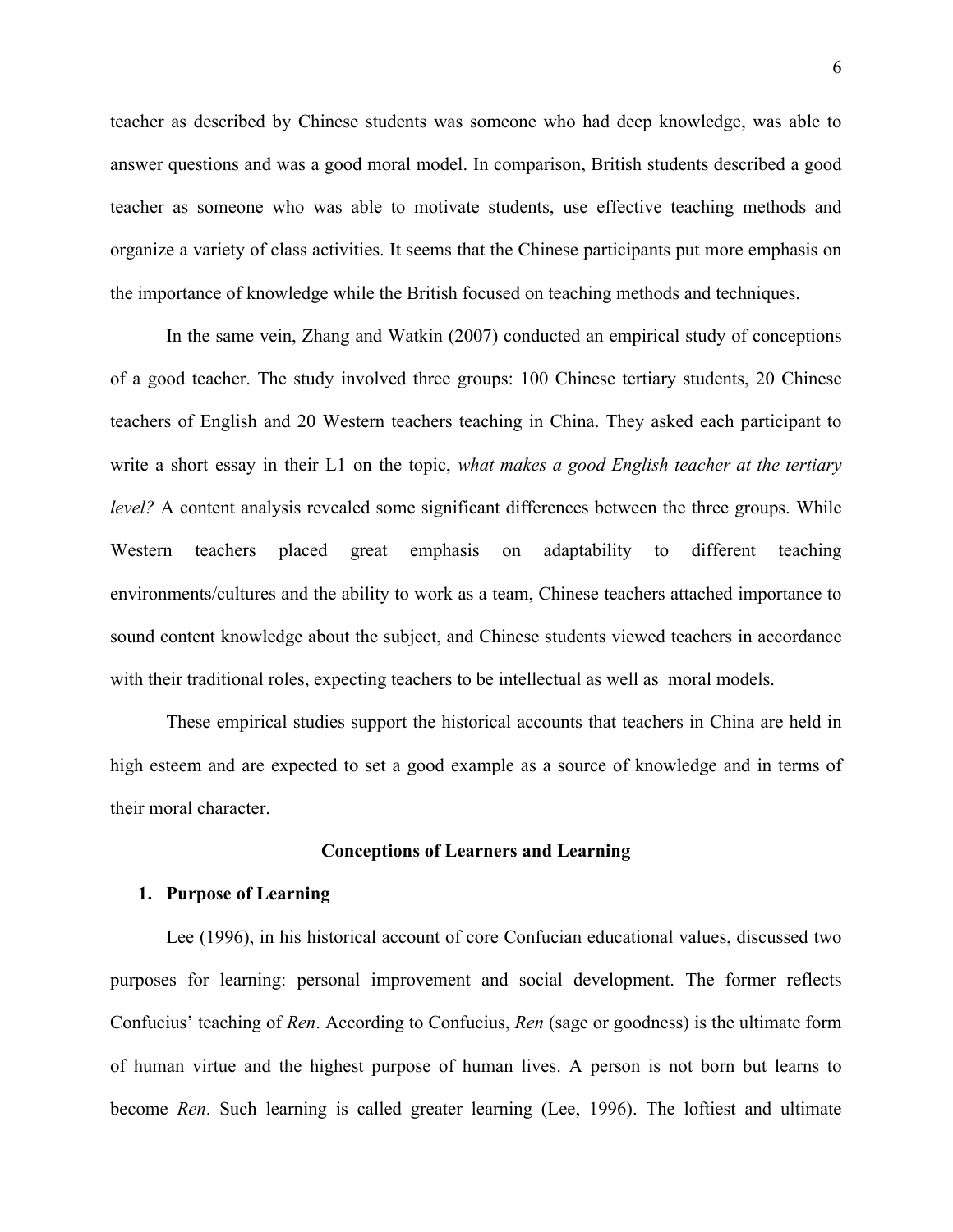teacher as described by Chinese students was someone who had deep knowledge, was able to answer questions and was a good moral model. In comparison, British students described a good teacher as someone who was able to motivate students, use effective teaching methods and organize a variety of class activities. It seems that the Chinese participants put more emphasis on the importance of knowledge while the British focused on teaching methods and techniques.

In the same vein, Zhang and Watkin (2007) conducted an empirical study of conceptions of a good teacher. The study involved three groups: 100 Chinese tertiary students, 20 Chinese teachers of English and 20 Western teachers teaching in China. They asked each participant to write a short essay in their L1 on the topic, *what makes a good English teacher at the tertiary level?* A content analysis revealed some significant differences between the three groups. While Western teachers placed great emphasis on adaptability to different teaching environments/cultures and the ability to work as a team, Chinese teachers attached importance to sound content knowledge about the subject, and Chinese students viewed teachers in accordance with their traditional roles, expecting teachers to be intellectual as well as moral models.

These empirical studies support the historical accounts that teachers in China are held in high esteem and are expected to set a good example as a source of knowledge and in terms of their moral character.

# **Conceptions of Learners and Learning**

## **1. Purpose of Learning**

Lee (1996), in his historical account of core Confucian educational values, discussed two purposes for learning: personal improvement and social development. The former reflects Confucius' teaching of *Ren*. According to Confucius, *Ren* (sage or goodness) is the ultimate form of human virtue and the highest purpose of human lives. A person is not born but learns to become *Ren*. Such learning is called greater learning (Lee, 1996). The loftiest and ultimate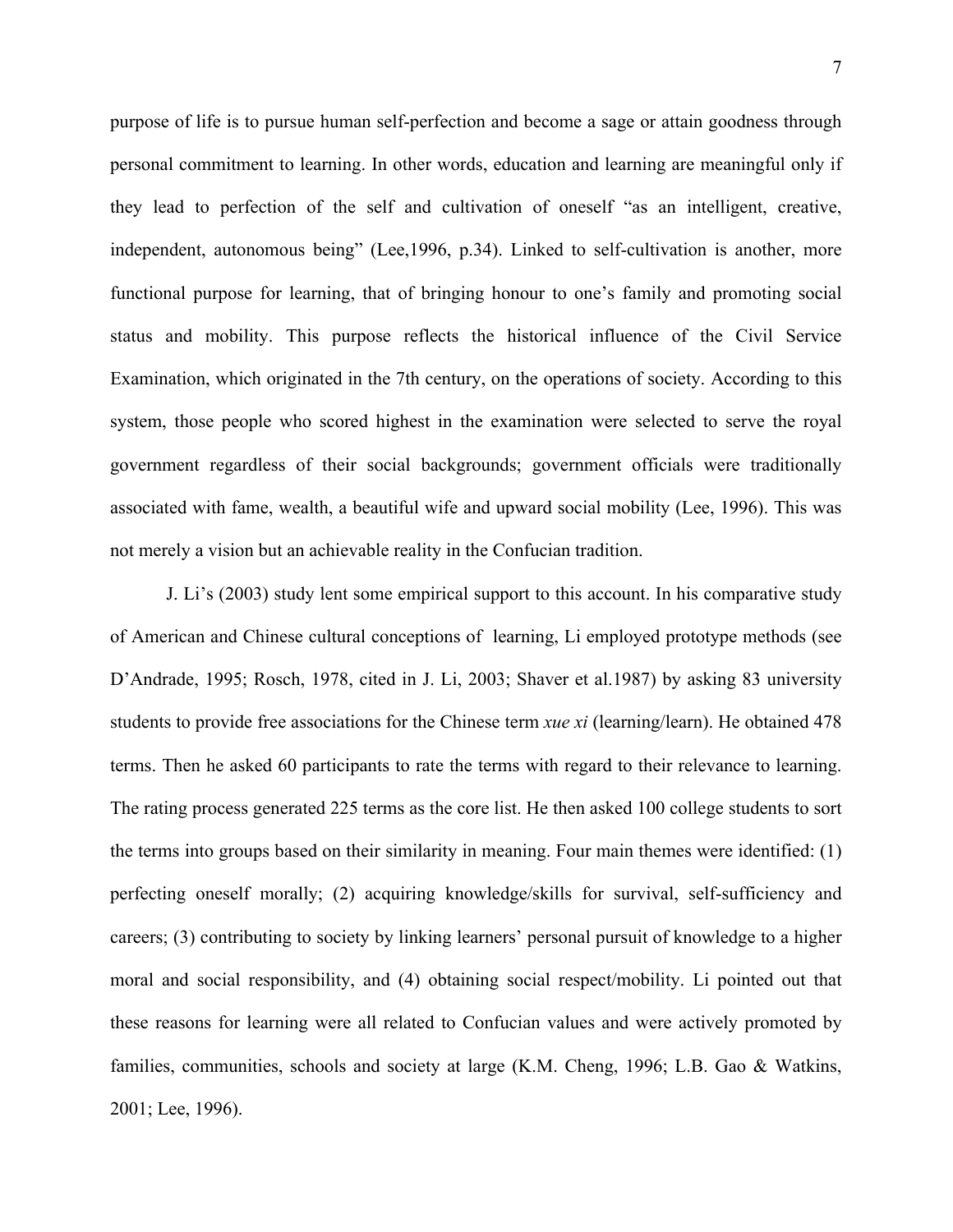purpose of life is to pursue human self-perfection and become a sage or attain goodness through personal commitment to learning. In other words, education and learning are meaningful only if they lead to perfection of the self and cultivation of oneself "as an intelligent, creative, independent, autonomous being" (Lee,1996, p.34). Linked to self-cultivation is another, more functional purpose for learning, that of bringing honour to one's family and promoting social status and mobility. This purpose reflects the historical influence of the Civil Service Examination, which originated in the 7th century, on the operations of society. According to this system, those people who scored highest in the examination were selected to serve the royal government regardless of their social backgrounds; government officials were traditionally associated with fame, wealth, a beautiful wife and upward social mobility (Lee, 1996). This was not merely a vision but an achievable reality in the Confucian tradition.

J. Li's (2003) study lent some empirical support to this account. In his comparative study of American and Chinese cultural conceptions of learning, Li employed prototype methods (see D'Andrade, 1995; Rosch, 1978, cited in J. Li, 2003; Shaver et al.1987) by asking 83 university students to provide free associations for the Chinese term *xue xi* (learning/learn). He obtained 478 terms. Then he asked 60 participants to rate the terms with regard to their relevance to learning. The rating process generated 225 terms as the core list. He then asked 100 college students to sort the terms into groups based on their similarity in meaning. Four main themes were identified: (1) perfecting oneself morally; (2) acquiring knowledge/skills for survival, self-sufficiency and careers; (3) contributing to society by linking learners' personal pursuit of knowledge to a higher moral and social responsibility, and (4) obtaining social respect/mobility. Li pointed out that these reasons for learning were all related to Confucian values and were actively promoted by families, communities, schools and society at large (K.M. Cheng, 1996; L.B. Gao & Watkins, 2001; Lee, 1996).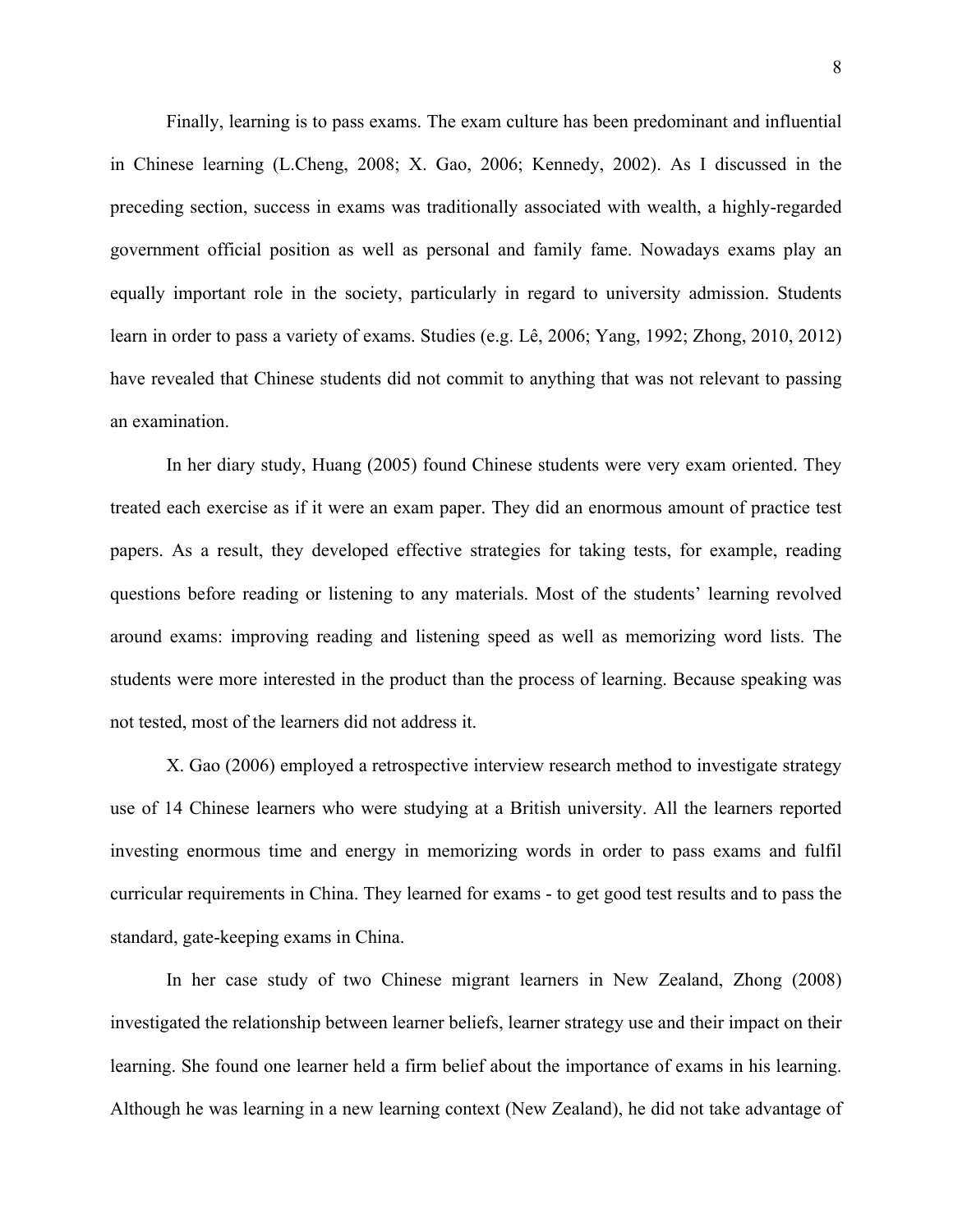Finally, learning is to pass exams. The exam culture has been predominant and influential in Chinese learning (L.Cheng, 2008; X. Gao, 2006; Kennedy, 2002). As I discussed in the preceding section, success in exams was traditionally associated with wealth, a highly-regarded government official position as well as personal and family fame. Nowadays exams play an equally important role in the society, particularly in regard to university admission. Students learn in order to pass a variety of exams. Studies (e.g. Lê, 2006; Yang, 1992; Zhong, 2010, 2012) have revealed that Chinese students did not commit to anything that was not relevant to passing an examination.

 In her diary study, Huang (2005) found Chinese students were very exam oriented. They treated each exercise as if it were an exam paper. They did an enormous amount of practice test papers. As a result, they developed effective strategies for taking tests, for example, reading questions before reading or listening to any materials. Most of the students' learning revolved around exams: improving reading and listening speed as well as memorizing word lists. The students were more interested in the product than the process of learning. Because speaking was not tested, most of the learners did not address it.

 X. Gao (2006) employed a retrospective interview research method to investigate strategy use of 14 Chinese learners who were studying at a British university. All the learners reported investing enormous time and energy in memorizing words in order to pass exams and fulfil curricular requirements in China. They learned for exams - to get good test results and to pass the standard, gate-keeping exams in China.

In her case study of two Chinese migrant learners in New Zealand, Zhong (2008) investigated the relationship between learner beliefs, learner strategy use and their impact on their learning. She found one learner held a firm belief about the importance of exams in his learning. Although he was learning in a new learning context (New Zealand), he did not take advantage of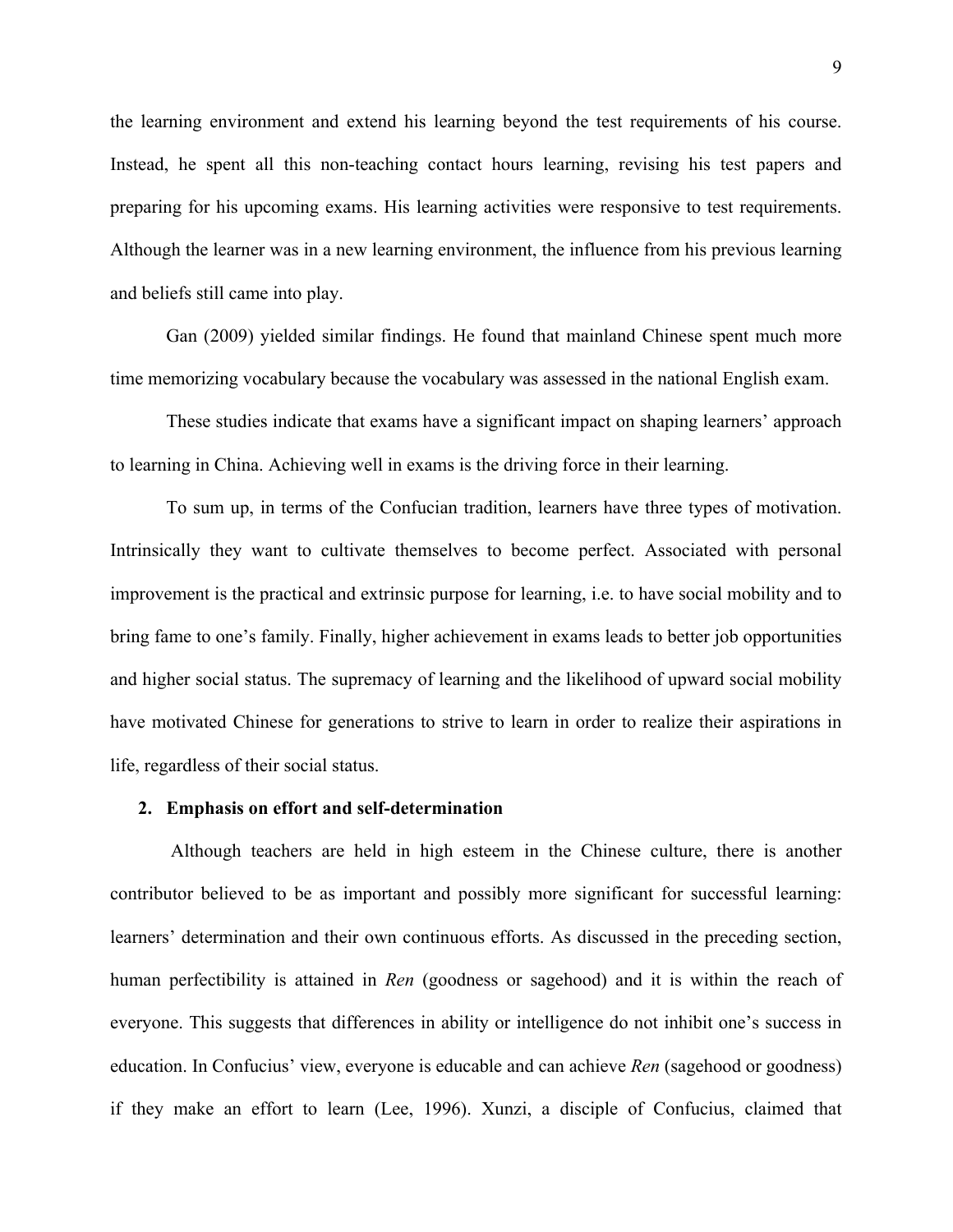the learning environment and extend his learning beyond the test requirements of his course. Instead, he spent all this non-teaching contact hours learning, revising his test papers and preparing for his upcoming exams. His learning activities were responsive to test requirements. Although the learner was in a new learning environment, the influence from his previous learning and beliefs still came into play.

Gan (2009) yielded similar findings. He found that mainland Chinese spent much more time memorizing vocabulary because the vocabulary was assessed in the national English exam.

 These studies indicate that exams have a significant impact on shaping learners' approach to learning in China. Achieving well in exams is the driving force in their learning.

 To sum up, in terms of the Confucian tradition, learners have three types of motivation. Intrinsically they want to cultivate themselves to become perfect. Associated with personal improvement is the practical and extrinsic purpose for learning, i.e. to have social mobility and to bring fame to one's family. Finally, higher achievement in exams leads to better job opportunities and higher social status. The supremacy of learning and the likelihood of upward social mobility have motivated Chinese for generations to strive to learn in order to realize their aspirations in life, regardless of their social status.

# **2. Emphasis on effort and self-determination**

Although teachers are held in high esteem in the Chinese culture, there is another contributor believed to be as important and possibly more significant for successful learning: learners' determination and their own continuous efforts. As discussed in the preceding section, human perfectibility is attained in *Ren* (goodness or sagehood) and it is within the reach of everyone. This suggests that differences in ability or intelligence do not inhibit one's success in education. In Confucius' view, everyone is educable and can achieve *Ren* (sagehood or goodness) if they make an effort to learn (Lee, 1996). Xunzi, a disciple of Confucius, claimed that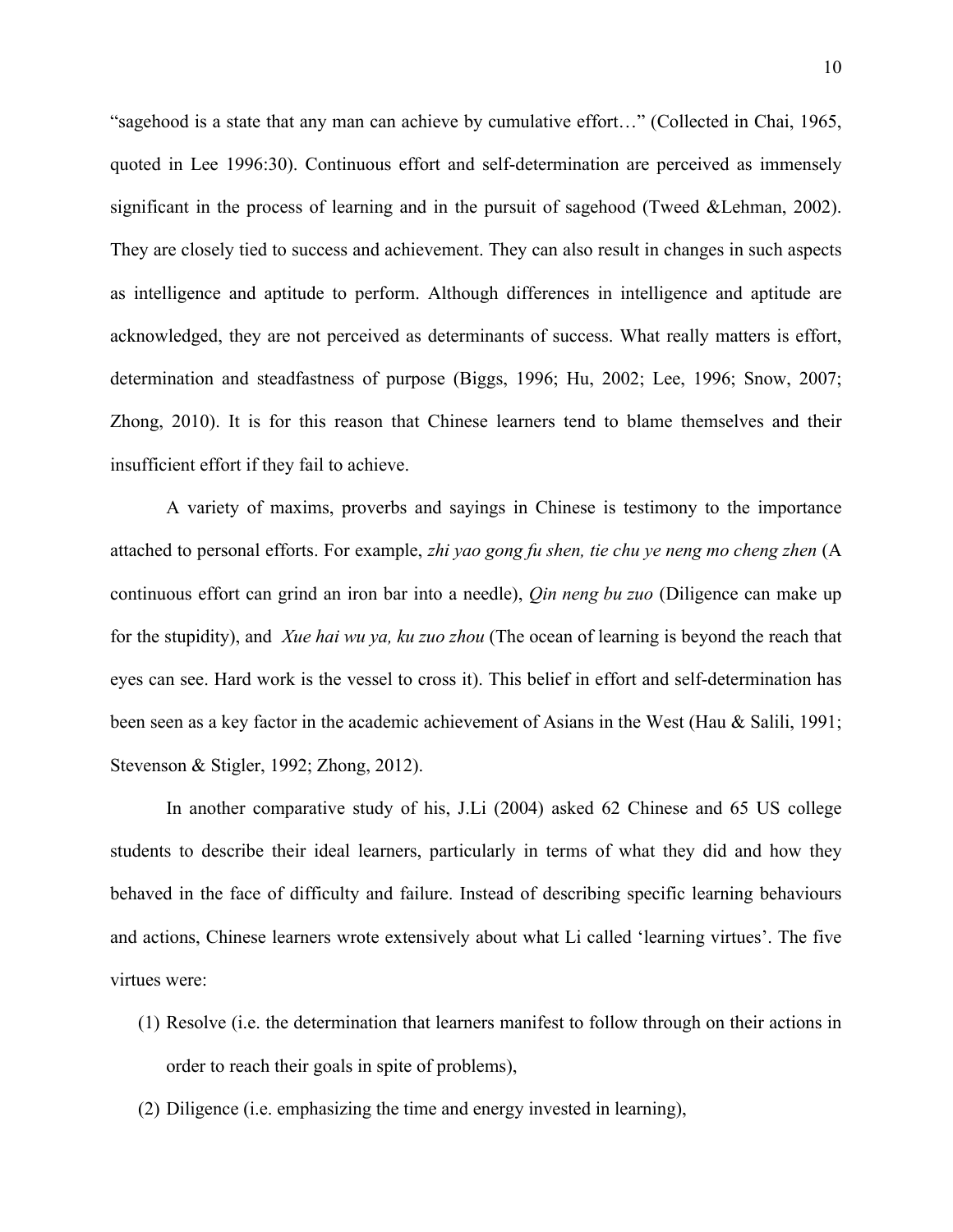"sagehood is a state that any man can achieve by cumulative effort…" (Collected in Chai, 1965, quoted in Lee 1996:30). Continuous effort and self-determination are perceived as immensely significant in the process of learning and in the pursuit of sagehood (Tweed &Lehman, 2002). They are closely tied to success and achievement. They can also result in changes in such aspects as intelligence and aptitude to perform. Although differences in intelligence and aptitude are acknowledged, they are not perceived as determinants of success. What really matters is effort, determination and steadfastness of purpose (Biggs, 1996; Hu, 2002; Lee, 1996; Snow, 2007; Zhong, 2010). It is for this reason that Chinese learners tend to blame themselves and their insufficient effort if they fail to achieve.

A variety of maxims, proverbs and sayings in Chinese is testimony to the importance attached to personal efforts. For example, *zhi yao gong fu shen, tie chu ye neng mo cheng zhen* (A continuous effort can grind an iron bar into a needle), *Qin neng bu zuo* (Diligence can make up for the stupidity), and *Xue hai wu ya, ku zuo zhou* (The ocean of learning is beyond the reach that eyes can see. Hard work is the vessel to cross it). This belief in effort and self-determination has been seen as a key factor in the academic achievement of Asians in the West (Hau & Salili, 1991; Stevenson & Stigler, 1992; Zhong, 2012).

In another comparative study of his, J.Li (2004) asked 62 Chinese and 65 US college students to describe their ideal learners, particularly in terms of what they did and how they behaved in the face of difficulty and failure. Instead of describing specific learning behaviours and actions, Chinese learners wrote extensively about what Li called 'learning virtues'. The five virtues were:

- (1) Resolve (i.e. the determination that learners manifest to follow through on their actions in order to reach their goals in spite of problems),
- (2) Diligence (i.e. emphasizing the time and energy invested in learning),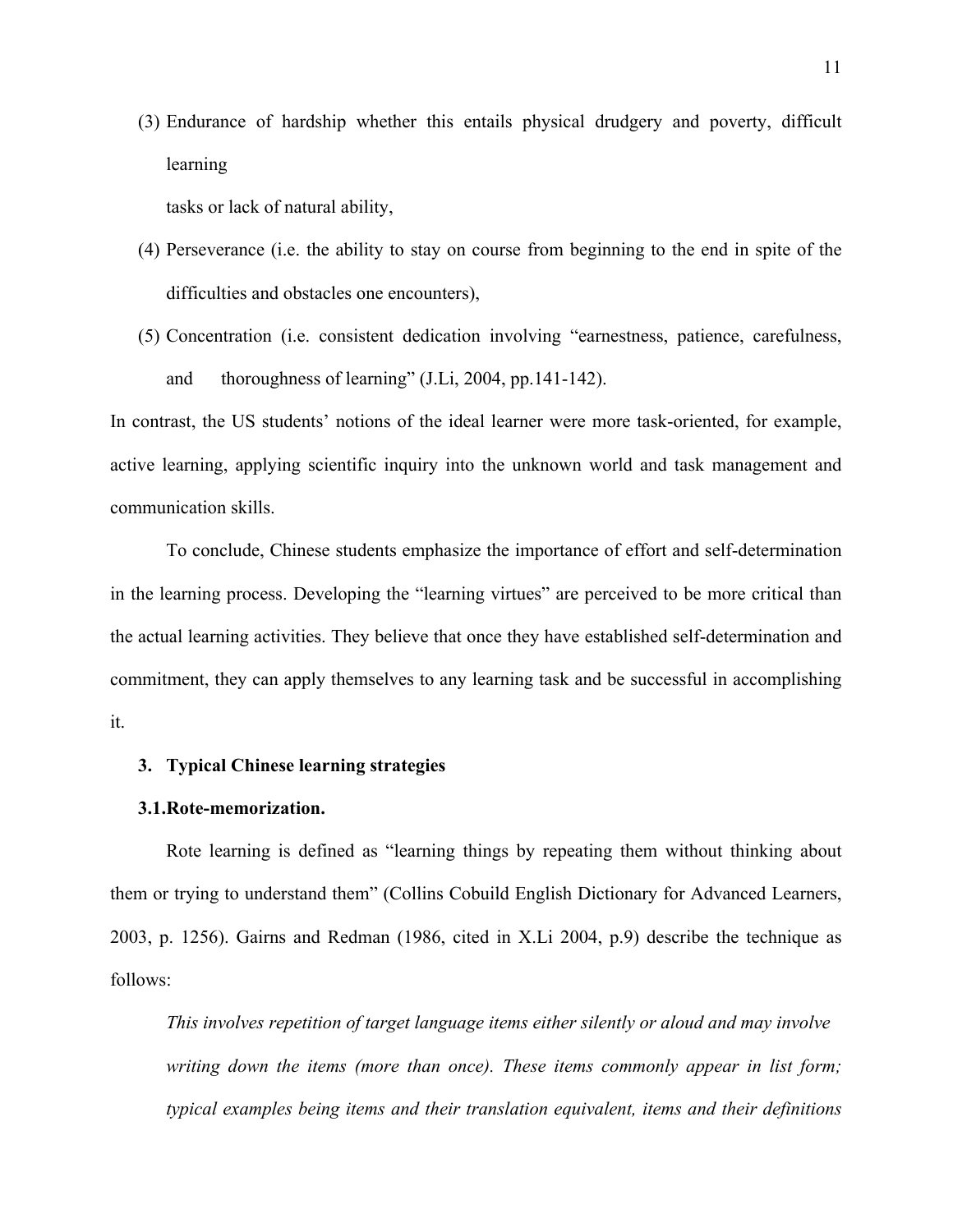(3) Endurance of hardship whether this entails physical drudgery and poverty, difficult learning

tasks or lack of natural ability,

- (4) Perseverance (i.e. the ability to stay on course from beginning to the end in spite of the difficulties and obstacles one encounters),
- (5) Concentration (i.e. consistent dedication involving "earnestness, patience, carefulness, and thoroughness of learning" (J.Li, 2004, pp.141-142).

In contrast, the US students' notions of the ideal learner were more task-oriented, for example, active learning, applying scientific inquiry into the unknown world and task management and communication skills.

To conclude, Chinese students emphasize the importance of effort and self-determination in the learning process. Developing the "learning virtues" are perceived to be more critical than the actual learning activities. They believe that once they have established self-determination and commitment, they can apply themselves to any learning task and be successful in accomplishing it.

# **3. Typical Chinese learning strategies**

#### **3.1.Rote-memorization.**

Rote learning is defined as "learning things by repeating them without thinking about them or trying to understand them" (Collins Cobuild English Dictionary for Advanced Learners, 2003, p. 1256). Gairns and Redman (1986, cited in X.Li 2004, p.9) describe the technique as follows:

*This involves repetition of target language items either silently or aloud and may involve writing down the items (more than once). These items commonly appear in list form; typical examples being items and their translation equivalent, items and their definitions*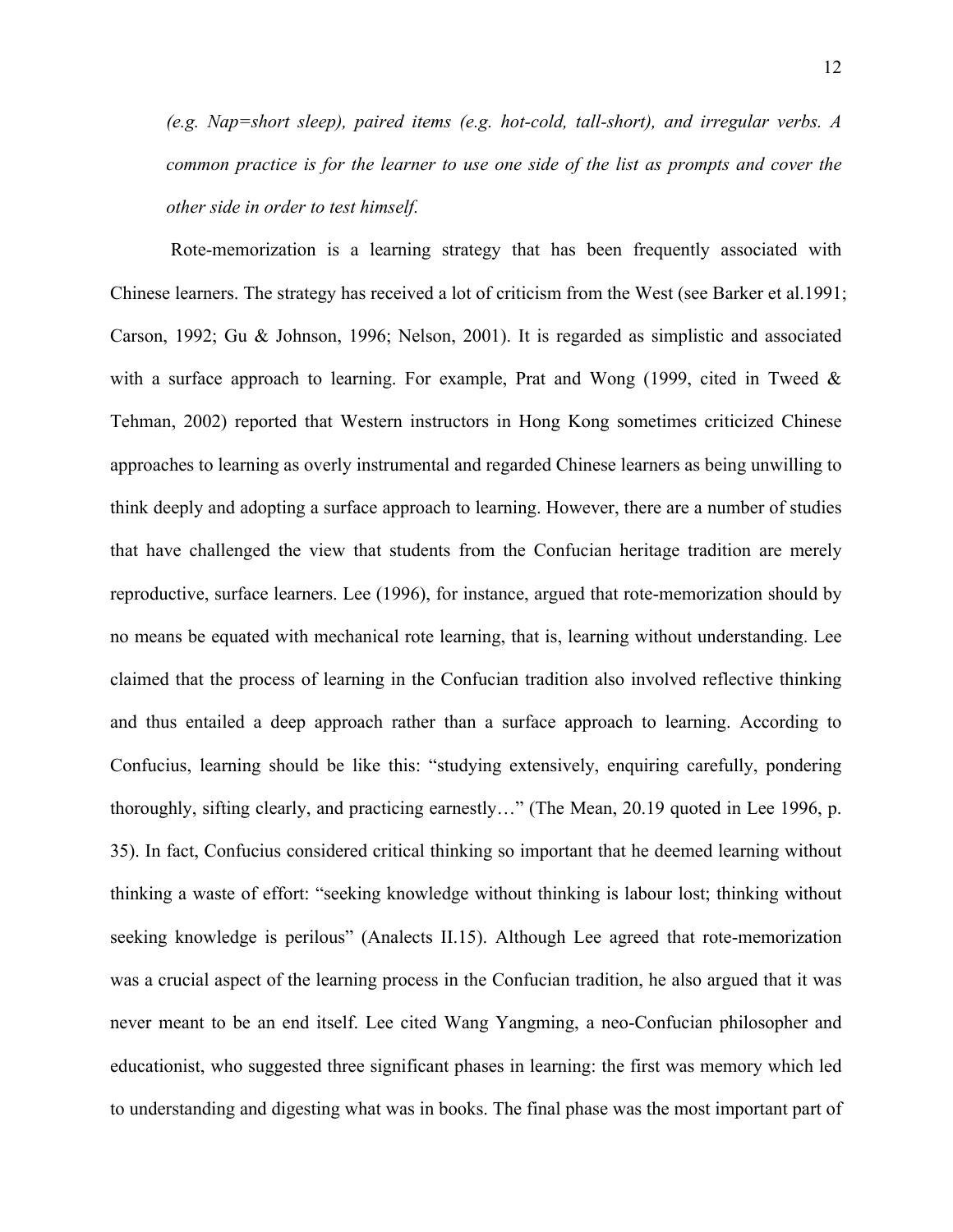12

*(e.g. Nap=short sleep), paired items (e.g. hot-cold, tall-short), and irregular verbs. A common practice is for the learner to use one side of the list as prompts and cover the other side in order to test himself.*

 Rote-memorization is a learning strategy that has been frequently associated with Chinese learners. The strategy has received a lot of criticism from the West (see Barker et al.1991; Carson, 1992; Gu & Johnson, 1996; Nelson, 2001). It is regarded as simplistic and associated with a surface approach to learning. For example, Prat and Wong  $(1999)$ , cited in Tweed  $\&$ Tehman, 2002) reported that Western instructors in Hong Kong sometimes criticized Chinese approaches to learning as overly instrumental and regarded Chinese learners as being unwilling to think deeply and adopting a surface approach to learning. However, there are a number of studies that have challenged the view that students from the Confucian heritage tradition are merely reproductive, surface learners. Lee (1996), for instance, argued that rote-memorization should by no means be equated with mechanical rote learning, that is, learning without understanding. Lee claimed that the process of learning in the Confucian tradition also involved reflective thinking and thus entailed a deep approach rather than a surface approach to learning. According to Confucius, learning should be like this: "studying extensively, enquiring carefully, pondering thoroughly, sifting clearly, and practicing earnestly…" (The Mean, 20.19 quoted in Lee 1996, p. 35). In fact, Confucius considered critical thinking so important that he deemed learning without thinking a waste of effort: "seeking knowledge without thinking is labour lost; thinking without seeking knowledge is perilous" (Analects II.15). Although Lee agreed that rote-memorization was a crucial aspect of the learning process in the Confucian tradition, he also argued that it was never meant to be an end itself. Lee cited Wang Yangming, a neo-Confucian philosopher and educationist, who suggested three significant phases in learning: the first was memory which led to understanding and digesting what was in books. The final phase was the most important part of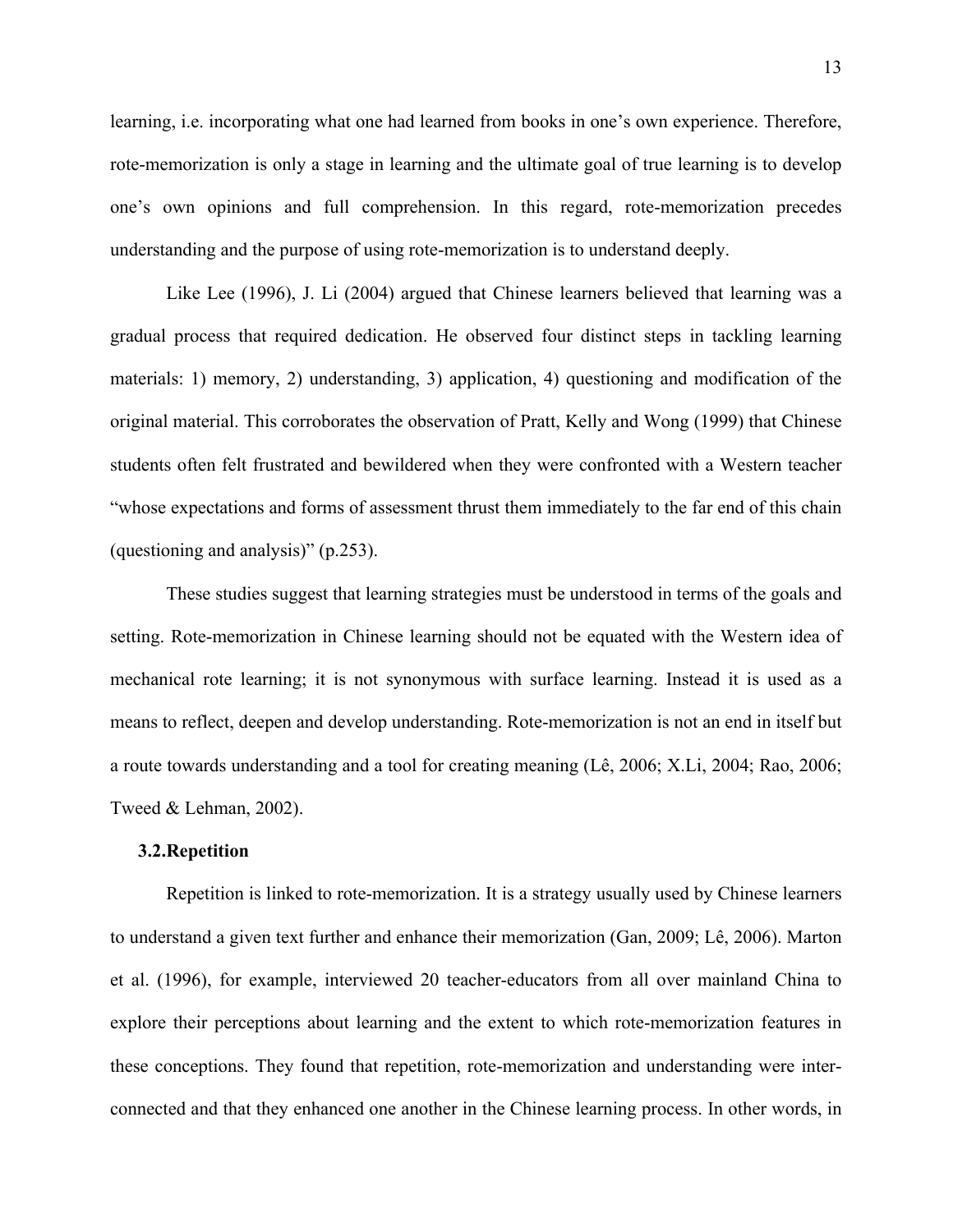learning, i.e. incorporating what one had learned from books in one's own experience. Therefore, rote-memorization is only a stage in learning and the ultimate goal of true learning is to develop one's own opinions and full comprehension. In this regard, rote-memorization precedes understanding and the purpose of using rote-memorization is to understand deeply.

 Like Lee (1996), J. Li (2004) argued that Chinese learners believed that learning was a gradual process that required dedication. He observed four distinct steps in tackling learning materials: 1) memory, 2) understanding, 3) application, 4) questioning and modification of the original material. This corroborates the observation of Pratt, Kelly and Wong (1999) that Chinese students often felt frustrated and bewildered when they were confronted with a Western teacher "whose expectations and forms of assessment thrust them immediately to the far end of this chain (questioning and analysis)" (p.253).

 These studies suggest that learning strategies must be understood in terms of the goals and setting. Rote-memorization in Chinese learning should not be equated with the Western idea of mechanical rote learning; it is not synonymous with surface learning. Instead it is used as a means to reflect, deepen and develop understanding. Rote-memorization is not an end in itself but a route towards understanding and a tool for creating meaning (Lê, 2006; X.Li, 2004; Rao, 2006; Tweed & Lehman, 2002).

# **3.2.Repetition**

Repetition is linked to rote-memorization. It is a strategy usually used by Chinese learners to understand a given text further and enhance their memorization (Gan, 2009; Lê, 2006). Marton et al. (1996), for example, interviewed 20 teacher-educators from all over mainland China to explore their perceptions about learning and the extent to which rote-memorization features in these conceptions. They found that repetition, rote-memorization and understanding were interconnected and that they enhanced one another in the Chinese learning process. In other words, in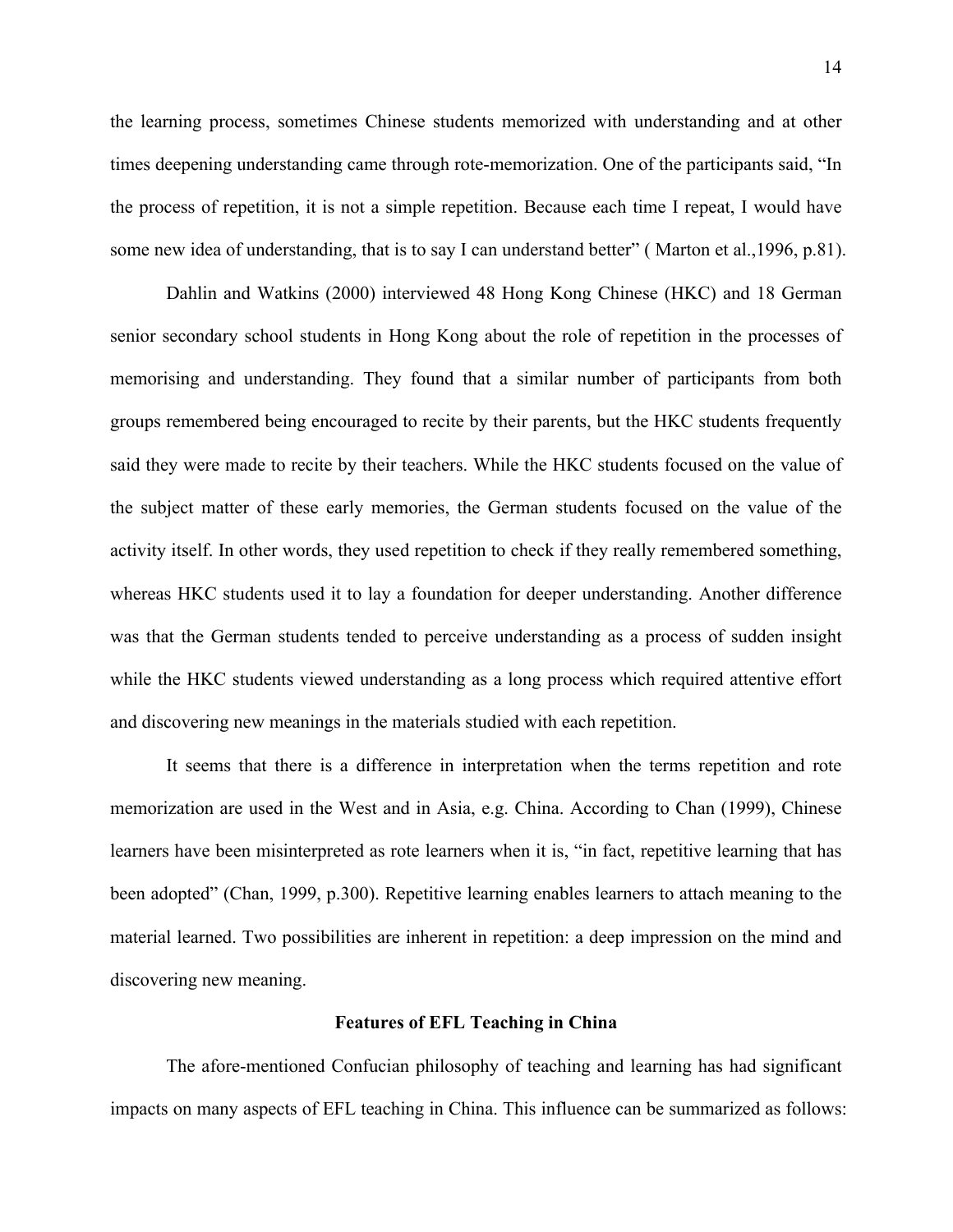the learning process, sometimes Chinese students memorized with understanding and at other times deepening understanding came through rote-memorization. One of the participants said, "In the process of repetition, it is not a simple repetition. Because each time I repeat, I would have some new idea of understanding, that is to say I can understand better" (Marton et al., 1996, p.81).

Dahlin and Watkins (2000) interviewed 48 Hong Kong Chinese (HKC) and 18 German senior secondary school students in Hong Kong about the role of repetition in the processes of memorising and understanding. They found that a similar number of participants from both groups remembered being encouraged to recite by their parents, but the HKC students frequently said they were made to recite by their teachers. While the HKC students focused on the value of the subject matter of these early memories, the German students focused on the value of the activity itself. In other words, they used repetition to check if they really remembered something, whereas HKC students used it to lay a foundation for deeper understanding. Another difference was that the German students tended to perceive understanding as a process of sudden insight while the HKC students viewed understanding as a long process which required attentive effort and discovering new meanings in the materials studied with each repetition.

It seems that there is a difference in interpretation when the terms repetition and rote memorization are used in the West and in Asia, e.g. China. According to Chan (1999), Chinese learners have been misinterpreted as rote learners when it is, "in fact, repetitive learning that has been adopted" (Chan, 1999, p.300). Repetitive learning enables learners to attach meaning to the material learned. Two possibilities are inherent in repetition: a deep impression on the mind and discovering new meaning.

#### **Features of EFL Teaching in China**

The afore-mentioned Confucian philosophy of teaching and learning has had significant impacts on many aspects of EFL teaching in China. This influence can be summarized as follows: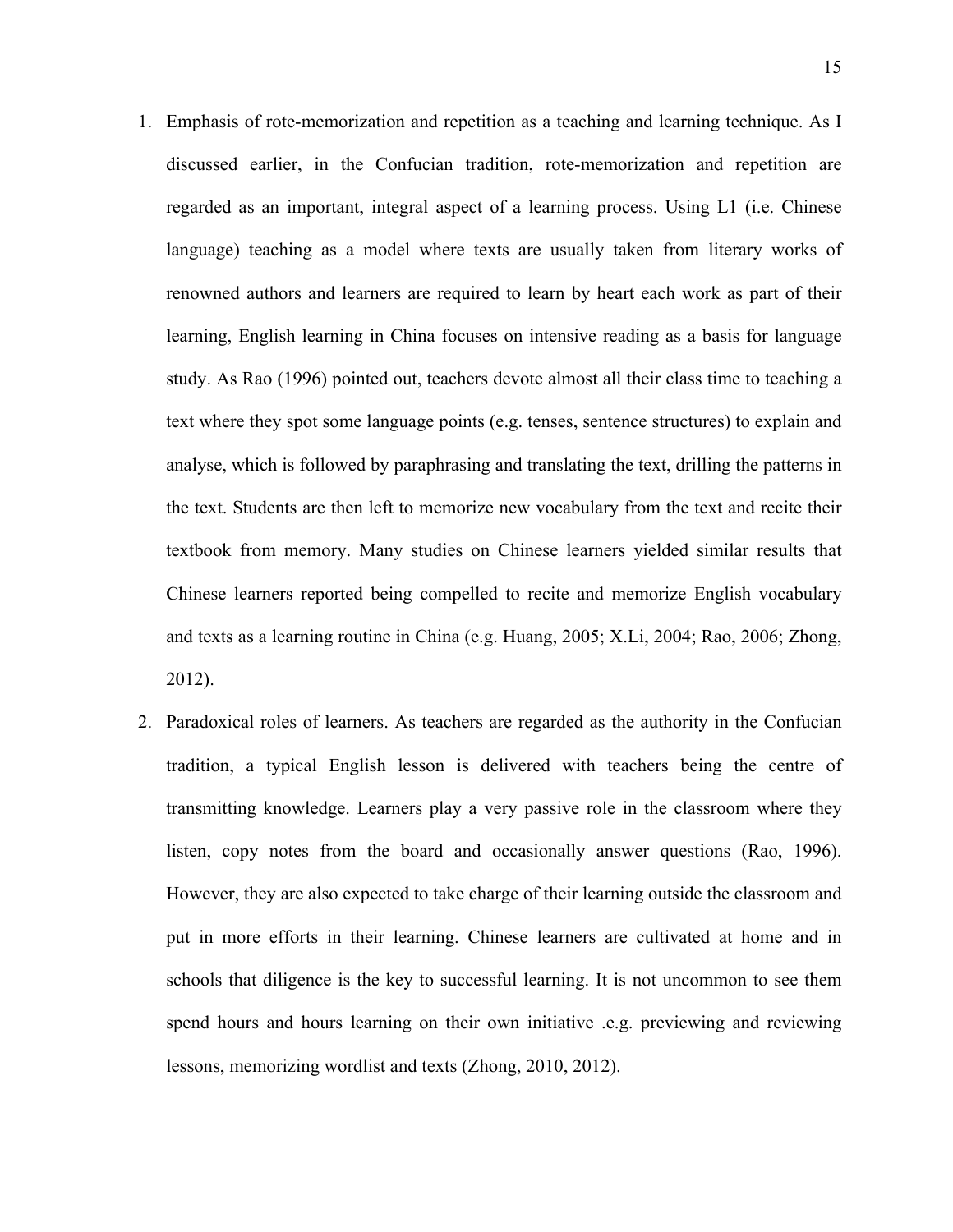- 1. Emphasis of rote-memorization and repetition as a teaching and learning technique. As I discussed earlier, in the Confucian tradition, rote-memorization and repetition are regarded as an important, integral aspect of a learning process. Using L1 (i.e. Chinese language) teaching as a model where texts are usually taken from literary works of renowned authors and learners are required to learn by heart each work as part of their learning, English learning in China focuses on intensive reading as a basis for language study. As Rao (1996) pointed out, teachers devote almost all their class time to teaching a text where they spot some language points (e.g. tenses, sentence structures) to explain and analyse, which is followed by paraphrasing and translating the text, drilling the patterns in the text. Students are then left to memorize new vocabulary from the text and recite their textbook from memory. Many studies on Chinese learners yielded similar results that Chinese learners reported being compelled to recite and memorize English vocabulary and texts as a learning routine in China (e.g. Huang, 2005; X.Li, 2004; Rao, 2006; Zhong, 2012).
- 2. Paradoxical roles of learners. As teachers are regarded as the authority in the Confucian tradition, a typical English lesson is delivered with teachers being the centre of transmitting knowledge. Learners play a very passive role in the classroom where they listen, copy notes from the board and occasionally answer questions (Rao, 1996). However, they are also expected to take charge of their learning outside the classroom and put in more efforts in their learning. Chinese learners are cultivated at home and in schools that diligence is the key to successful learning. It is not uncommon to see them spend hours and hours learning on their own initiative .e.g. previewing and reviewing lessons, memorizing wordlist and texts (Zhong, 2010, 2012).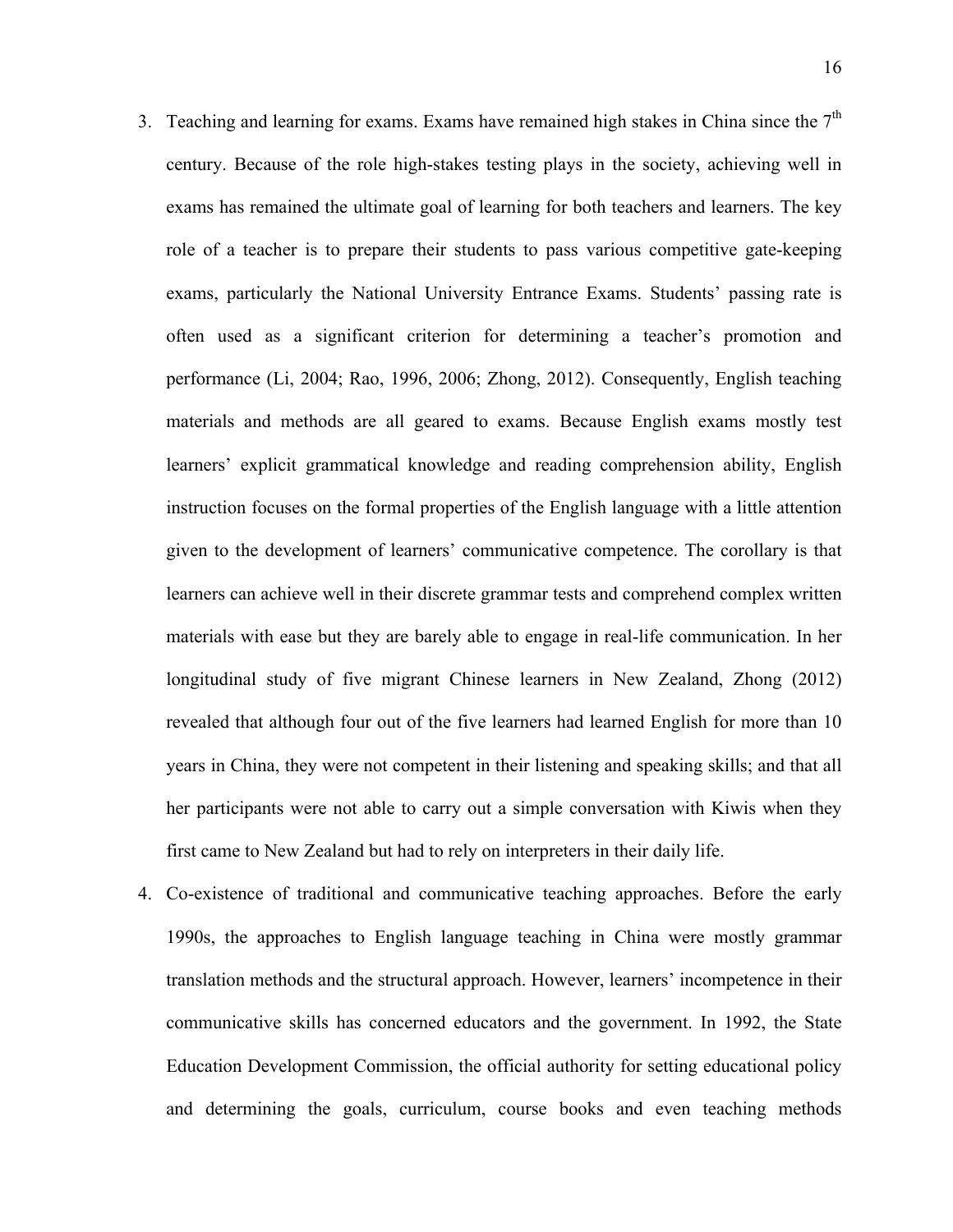- 3. Teaching and learning for exams. Exams have remained high stakes in China since the  $7<sup>th</sup>$ century. Because of the role high-stakes testing plays in the society, achieving well in exams has remained the ultimate goal of learning for both teachers and learners. The key role of a teacher is to prepare their students to pass various competitive gate-keeping exams, particularly the National University Entrance Exams. Students' passing rate is often used as a significant criterion for determining a teacher's promotion and performance (Li, 2004; Rao, 1996, 2006; Zhong, 2012). Consequently, English teaching materials and methods are all geared to exams. Because English exams mostly test learners' explicit grammatical knowledge and reading comprehension ability, English instruction focuses on the formal properties of the English language with a little attention given to the development of learners' communicative competence. The corollary is that learners can achieve well in their discrete grammar tests and comprehend complex written materials with ease but they are barely able to engage in real-life communication. In her longitudinal study of five migrant Chinese learners in New Zealand, Zhong (2012) revealed that although four out of the five learners had learned English for more than 10 years in China, they were not competent in their listening and speaking skills; and that all her participants were not able to carry out a simple conversation with Kiwis when they first came to New Zealand but had to rely on interpreters in their daily life.
- 4. Co-existence of traditional and communicative teaching approaches. Before the early 1990s, the approaches to English language teaching in China were mostly grammar translation methods and the structural approach. However, learners' incompetence in their communicative skills has concerned educators and the government. In 1992, the State Education Development Commission, the official authority for setting educational policy and determining the goals, curriculum, course books and even teaching methods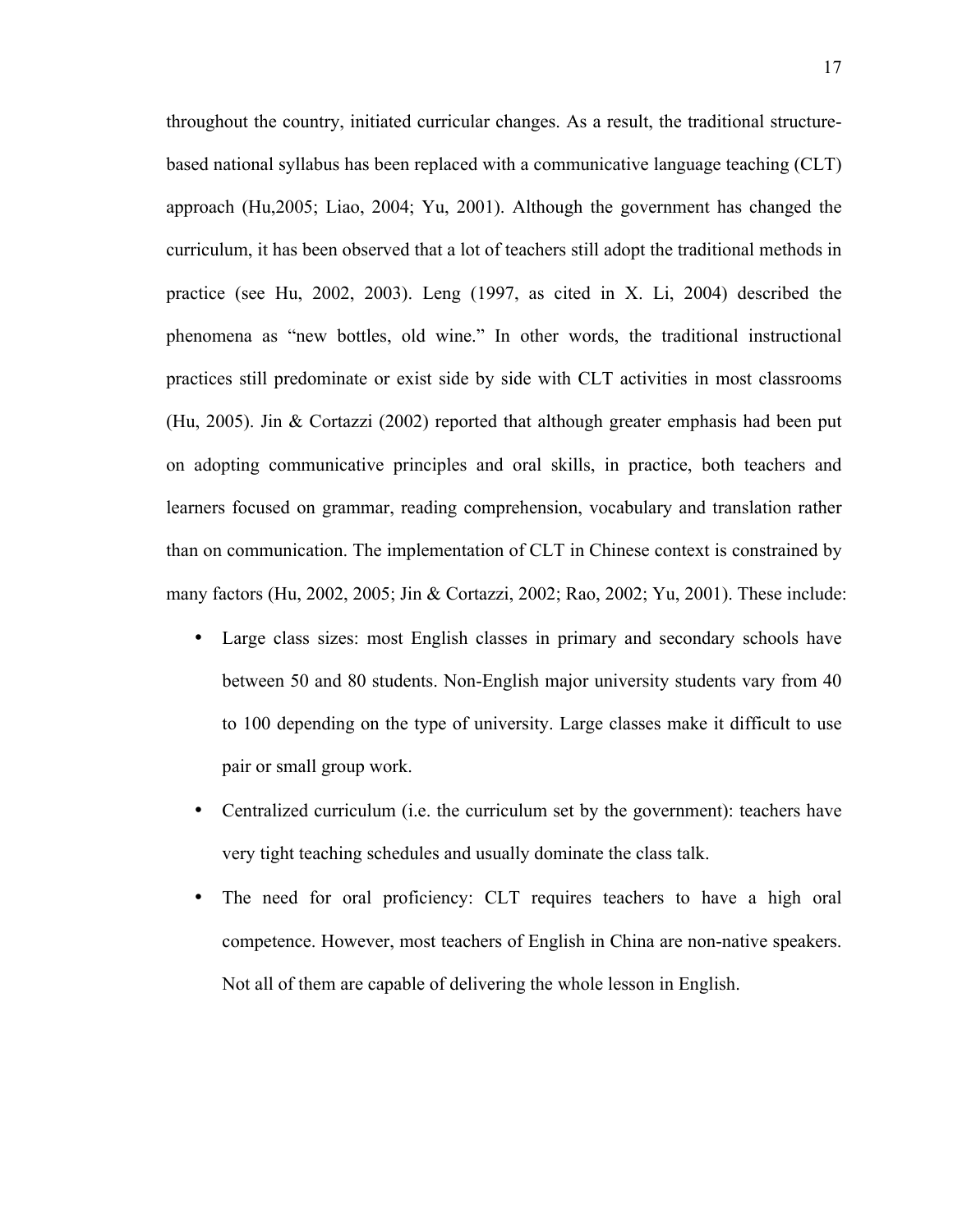throughout the country, initiated curricular changes. As a result, the traditional structurebased national syllabus has been replaced with a communicative language teaching (CLT) approach (Hu,2005; Liao, 2004; Yu, 2001). Although the government has changed the curriculum, it has been observed that a lot of teachers still adopt the traditional methods in practice (see Hu, 2002, 2003). Leng (1997, as cited in X. Li, 2004) described the phenomena as "new bottles, old wine." In other words, the traditional instructional practices still predominate or exist side by side with CLT activities in most classrooms (Hu, 2005). Jin & Cortazzi (2002) reported that although greater emphasis had been put on adopting communicative principles and oral skills, in practice, both teachers and learners focused on grammar, reading comprehension, vocabulary and translation rather than on communication. The implementation of CLT in Chinese context is constrained by many factors (Hu, 2002, 2005; Jin & Cortazzi, 2002; Rao, 2002; Yu, 2001). These include:

- Large class sizes: most English classes in primary and secondary schools have between 50 and 80 students. Non-English major university students vary from 40 to 100 depending on the type of university. Large classes make it difficult to use pair or small group work.
- Centralized curriculum (i.e. the curriculum set by the government): teachers have very tight teaching schedules and usually dominate the class talk.
- The need for oral proficiency: CLT requires teachers to have a high oral competence. However, most teachers of English in China are non-native speakers. Not all of them are capable of delivering the whole lesson in English.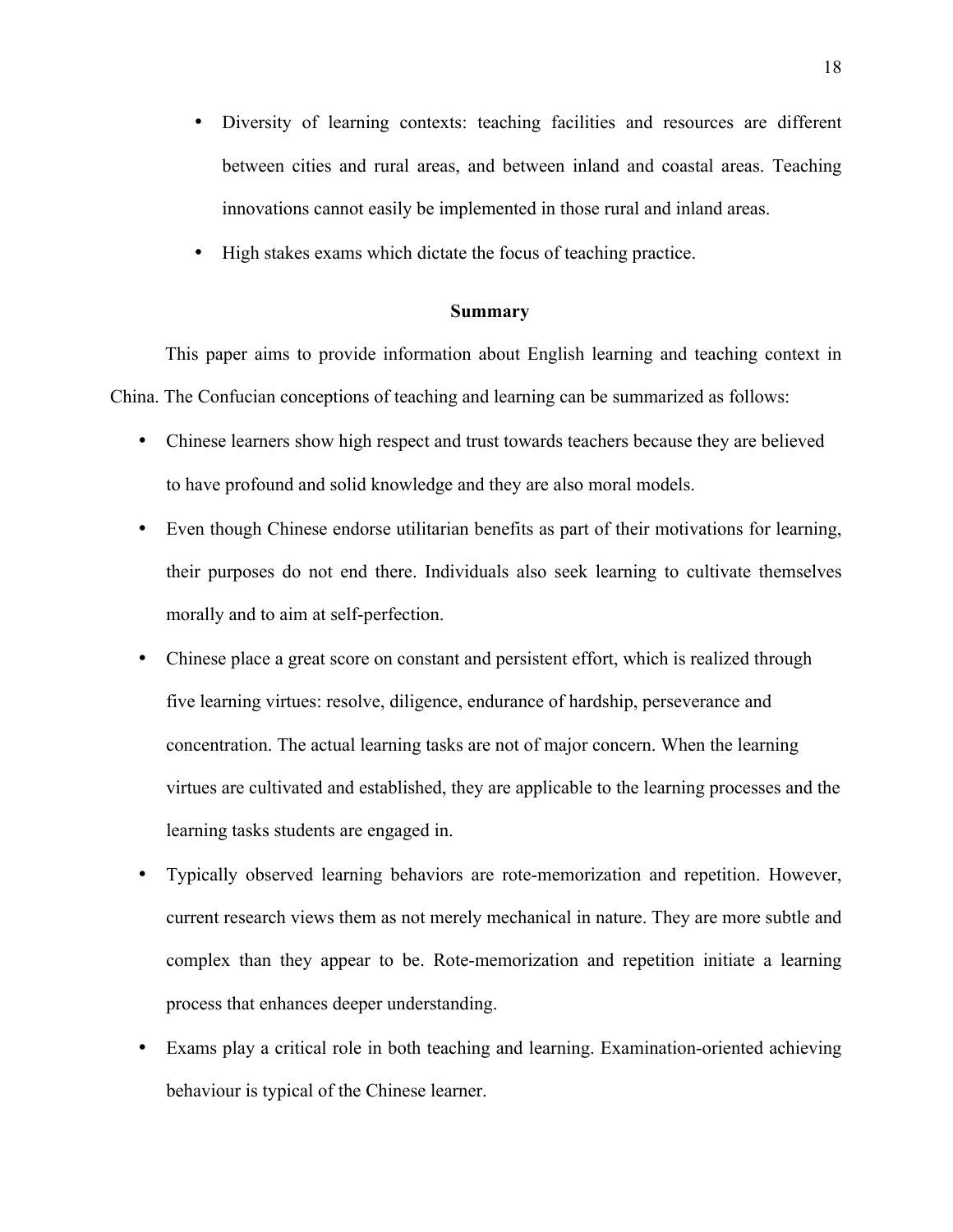- Diversity of learning contexts: teaching facilities and resources are different between cities and rural areas, and between inland and coastal areas. Teaching innovations cannot easily be implemented in those rural and inland areas.
- High stakes exams which dictate the focus of teaching practice.

#### **Summary**

This paper aims to provide information about English learning and teaching context in China. The Confucian conceptions of teaching and learning can be summarized as follows:

- Chinese learners show high respect and trust towards teachers because they are believed to have profound and solid knowledge and they are also moral models.
- Even though Chinese endorse utilitarian benefits as part of their motivations for learning, their purposes do not end there. Individuals also seek learning to cultivate themselves morally and to aim at self-perfection.
- Chinese place a great score on constant and persistent effort, which is realized through five learning virtues: resolve, diligence, endurance of hardship, perseverance and concentration. The actual learning tasks are not of major concern. When the learning virtues are cultivated and established, they are applicable to the learning processes and the learning tasks students are engaged in.
- Typically observed learning behaviors are rote-memorization and repetition. However, current research views them as not merely mechanical in nature. They are more subtle and complex than they appear to be. Rote-memorization and repetition initiate a learning process that enhances deeper understanding.
- Exams play a critical role in both teaching and learning. Examination-oriented achieving behaviour is typical of the Chinese learner.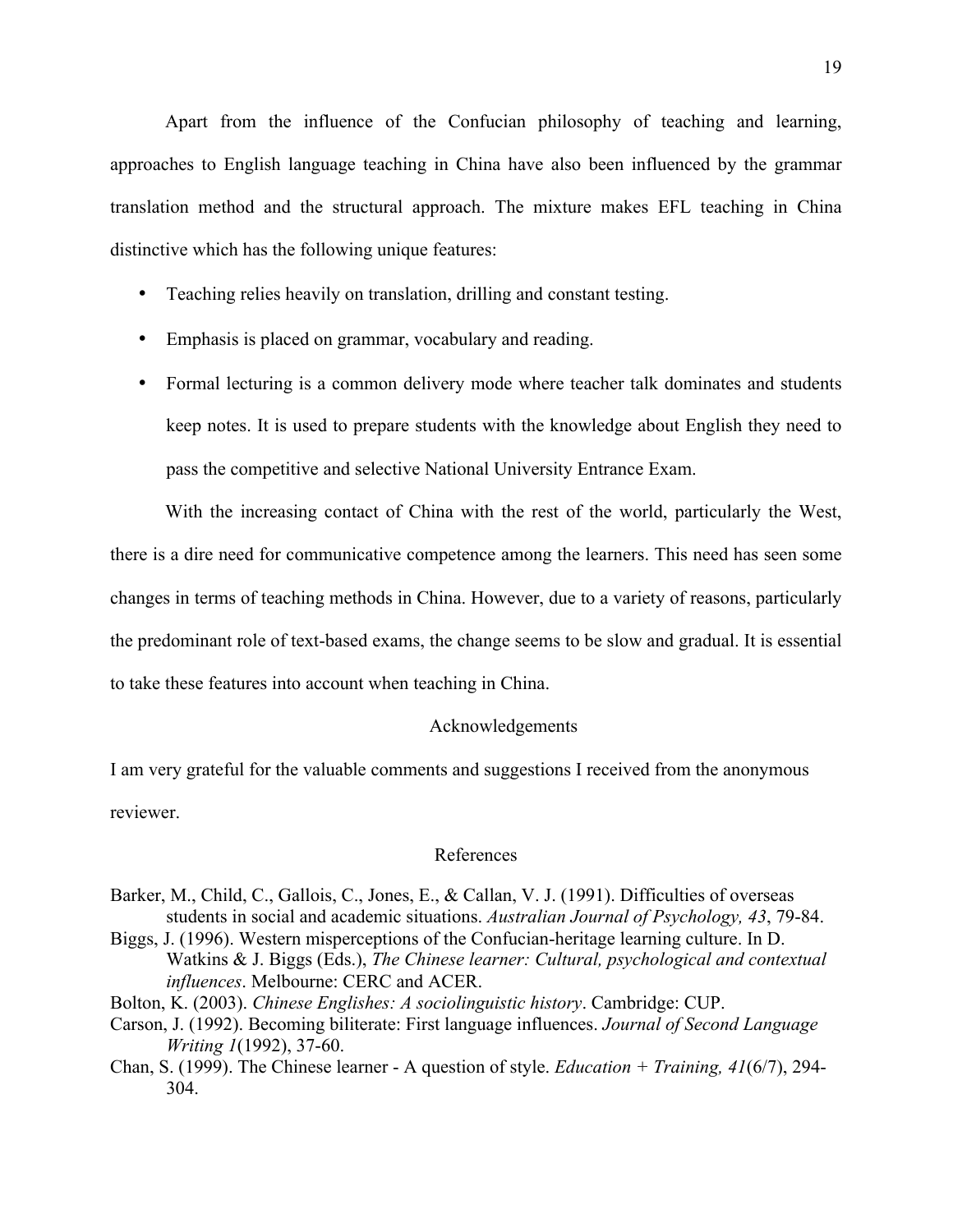Apart from the influence of the Confucian philosophy of teaching and learning, approaches to English language teaching in China have also been influenced by the grammar translation method and the structural approach. The mixture makes EFL teaching in China distinctive which has the following unique features:

- Teaching relies heavily on translation, drilling and constant testing.
- Emphasis is placed on grammar, vocabulary and reading.
- Formal lecturing is a common delivery mode where teacher talk dominates and students keep notes. It is used to prepare students with the knowledge about English they need to pass the competitive and selective National University Entrance Exam.

With the increasing contact of China with the rest of the world, particularly the West, there is a dire need for communicative competence among the learners. This need has seen some changes in terms of teaching methods in China. However, due to a variety of reasons, particularly the predominant role of text-based exams, the change seems to be slow and gradual. It is essential to take these features into account when teaching in China.

## Acknowledgements

I am very grateful for the valuable comments and suggestions I received from the anonymous reviewer.

#### References

- Barker, M., Child, C., Gallois, C., Jones, E., & Callan, V. J. (1991). Difficulties of overseas students in social and academic situations. *Australian Journal of Psychology, 43*, 79-84.
- Biggs, J. (1996). Western misperceptions of the Confucian-heritage learning culture. In D. Watkins & J. Biggs (Eds.), *The Chinese learner: Cultural, psychological and contextual influences*. Melbourne: CERC and ACER.
- Bolton, K. (2003). *Chinese Englishes: A sociolinguistic history*. Cambridge: CUP.
- Carson, J. (1992). Becoming biliterate: First language influences. *Journal of Second Language Writing 1*(1992), 37-60.
- Chan, S. (1999). The Chinese learner A question of style. *Education + Training, 41*(6/7), 294- 304.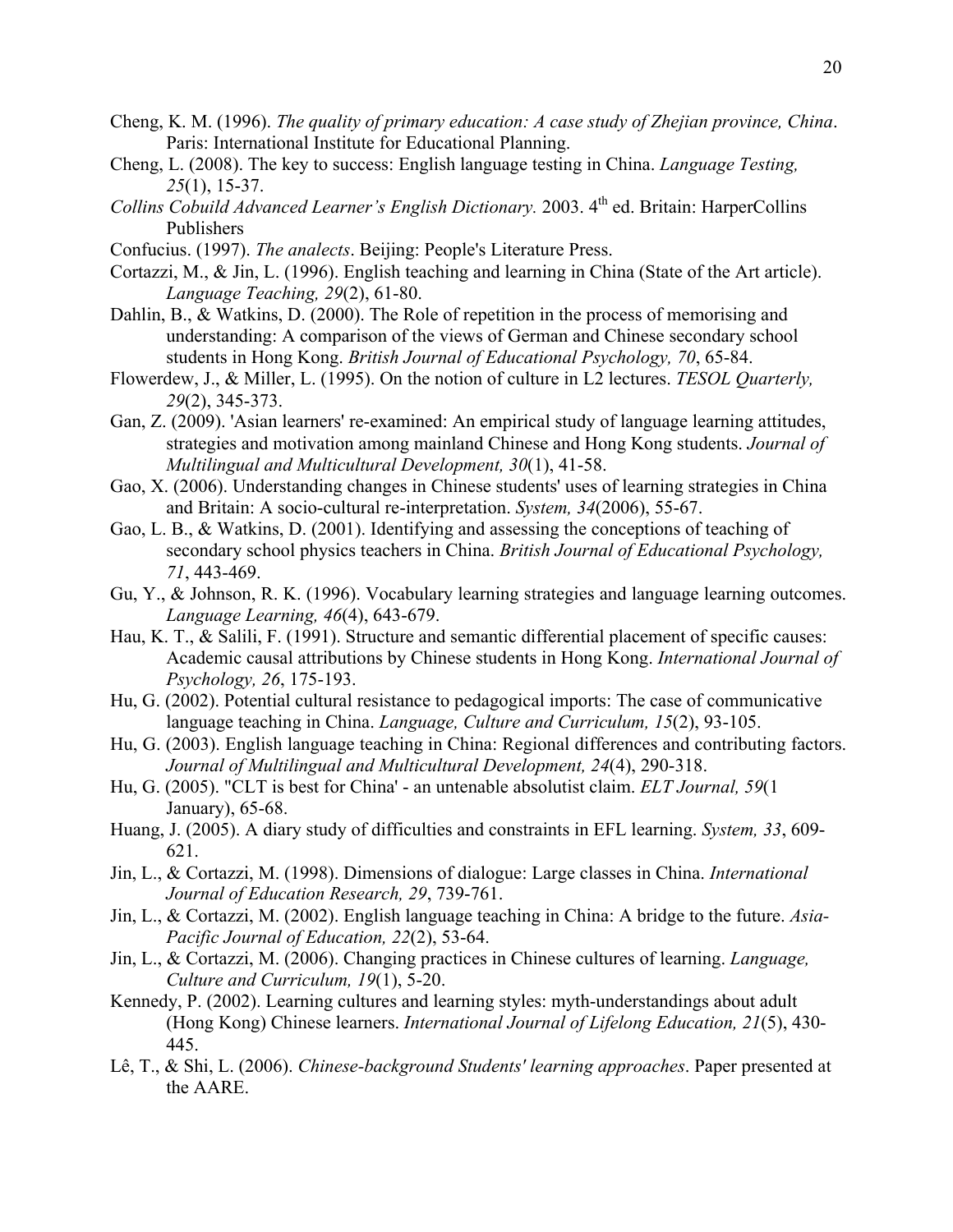- Cheng, K. M. (1996). *The quality of primary education: A case study of Zhejian province, China*. Paris: International Institute for Educational Planning.
- Cheng, L. (2008). The key to success: English language testing in China. *Language Testing, 25*(1), 15-37.
- *Collins Cobuild Advanced Learner's English Dictionary.* 2003. 4th ed. Britain: HarperCollins Publishers
- Confucius. (1997). *The analects*. Beijing: People's Literature Press.
- Cortazzi, M., & Jin, L. (1996). English teaching and learning in China (State of the Art article). *Language Teaching, 29*(2), 61-80.
- Dahlin, B., & Watkins, D. (2000). The Role of repetition in the process of memorising and understanding: A comparison of the views of German and Chinese secondary school students in Hong Kong. *British Journal of Educational Psychology, 70*, 65-84.
- Flowerdew, J., & Miller, L. (1995). On the notion of culture in L2 lectures. *TESOL Quarterly, 29*(2), 345-373.
- Gan, Z. (2009). 'Asian learners' re-examined: An empirical study of language learning attitudes, strategies and motivation among mainland Chinese and Hong Kong students. *Journal of Multilingual and Multicultural Development, 30*(1), 41-58.
- Gao, X. (2006). Understanding changes in Chinese students' uses of learning strategies in China and Britain: A socio-cultural re-interpretation. *System, 34*(2006), 55-67.
- Gao, L. B., & Watkins, D. (2001). Identifying and assessing the conceptions of teaching of secondary school physics teachers in China. *British Journal of Educational Psychology, 71*, 443-469.
- Gu, Y., & Johnson, R. K. (1996). Vocabulary learning strategies and language learning outcomes. *Language Learning, 46*(4), 643-679.
- Hau, K. T., & Salili, F. (1991). Structure and semantic differential placement of specific causes: Academic causal attributions by Chinese students in Hong Kong. *International Journal of Psychology, 26*, 175-193.
- Hu, G. (2002). Potential cultural resistance to pedagogical imports: The case of communicative language teaching in China. *Language, Culture and Curriculum, 15*(2), 93-105.
- Hu, G. (2003). English language teaching in China: Regional differences and contributing factors. *Journal of Multilingual and Multicultural Development, 24*(4), 290-318.
- Hu, G. (2005). "CLT is best for China' an untenable absolutist claim. *ELT Journal, 59*(1 January), 65-68.
- Huang, J. (2005). A diary study of difficulties and constraints in EFL learning. *System, 33*, 609- 621.
- Jin, L., & Cortazzi, M. (1998). Dimensions of dialogue: Large classes in China. *International Journal of Education Research, 29*, 739-761.
- Jin, L., & Cortazzi, M. (2002). English language teaching in China: A bridge to the future. *Asia-Pacific Journal of Education, 22*(2), 53-64.
- Jin, L., & Cortazzi, M. (2006). Changing practices in Chinese cultures of learning. *Language, Culture and Curriculum, 19*(1), 5-20.
- Kennedy, P. (2002). Learning cultures and learning styles: myth-understandings about adult (Hong Kong) Chinese learners. *International Journal of Lifelong Education, 21*(5), 430- 445.
- Lê, T., & Shi, L. (2006). *Chinese-background Students' learning approaches*. Paper presented at the AARE.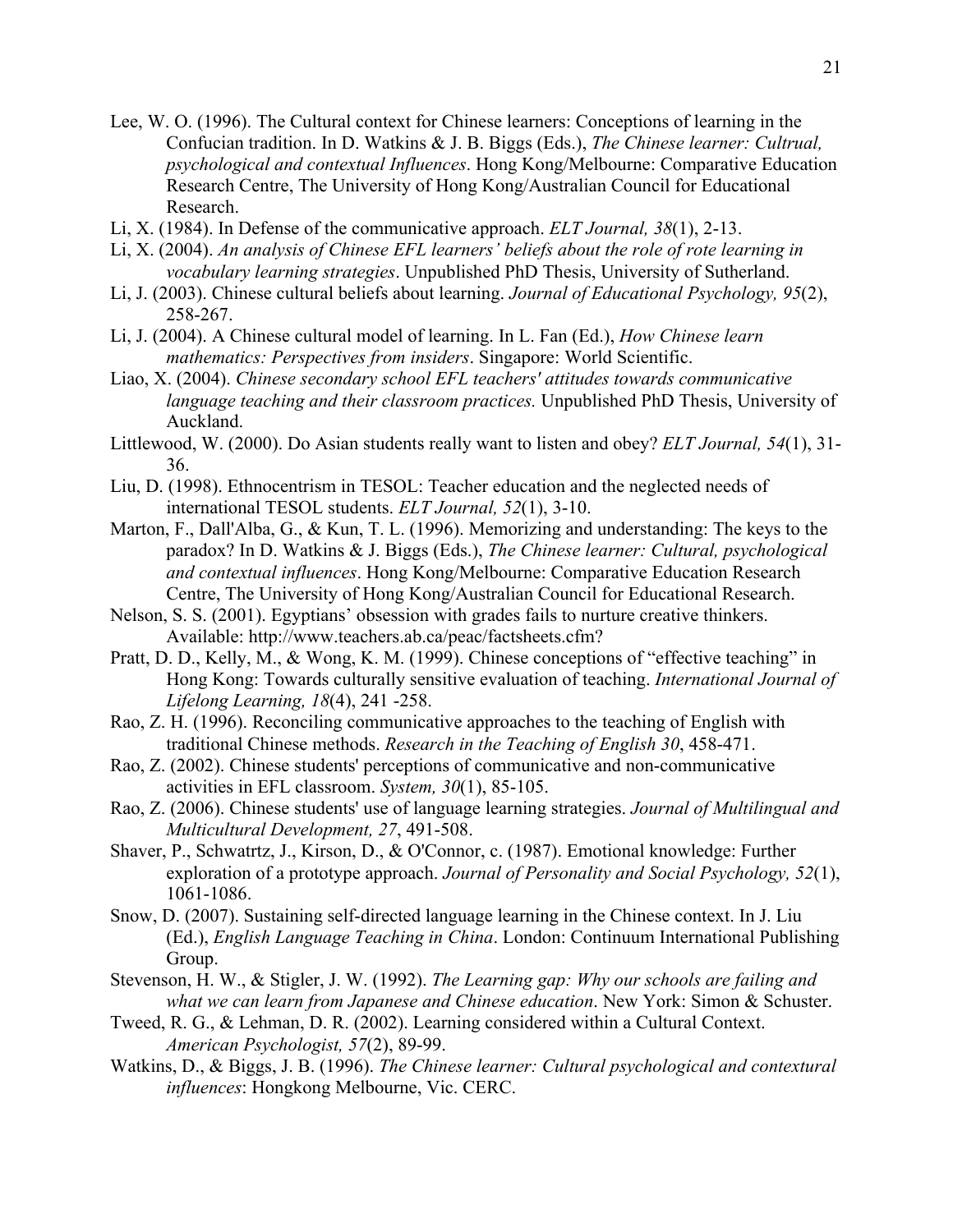- Lee, W. O. (1996). The Cultural context for Chinese learners: Conceptions of learning in the Confucian tradition. In D. Watkins & J. B. Biggs (Eds.), *The Chinese learner: Cultrual, psychological and contextual Influences*. Hong Kong/Melbourne: Comparative Education Research Centre, The University of Hong Kong/Australian Council for Educational Research.
- Li, X. (1984). In Defense of the communicative approach. *ELT Journal, 38*(1), 2-13.
- Li, X. (2004). *An analysis of Chinese EFL learners' beliefs about the role of rote learning in vocabulary learning strategies*. Unpublished PhD Thesis, University of Sutherland.
- Li, J. (2003). Chinese cultural beliefs about learning. *Journal of Educational Psychology, 95*(2), 258-267.
- Li, J. (2004). A Chinese cultural model of learning. In L. Fan (Ed.), *How Chinese learn mathematics: Perspectives from insiders*. Singapore: World Scientific.
- Liao, X. (2004). *Chinese secondary school EFL teachers' attitudes towards communicative language teaching and their classroom practices.* Unpublished PhD Thesis, University of Auckland.
- Littlewood, W. (2000). Do Asian students really want to listen and obey? *ELT Journal, 54*(1), 31- 36.
- Liu, D. (1998). Ethnocentrism in TESOL: Teacher education and the neglected needs of international TESOL students. *ELT Journal, 52*(1), 3-10.
- Marton, F., Dall'Alba, G., & Kun, T. L. (1996). Memorizing and understanding: The keys to the paradox? In D. Watkins & J. Biggs (Eds.), *The Chinese learner: Cultural, psychological and contextual influences*. Hong Kong/Melbourne: Comparative Education Research Centre, The University of Hong Kong/Australian Council for Educational Research.
- Nelson, S. S. (2001). Egyptians' obsession with grades fails to nurture creative thinkers. Available: http://www.teachers.ab.ca/peac/factsheets.cfm?
- Pratt, D. D., Kelly, M., & Wong, K. M. (1999). Chinese conceptions of "effective teaching" in Hong Kong: Towards culturally sensitive evaluation of teaching. *International Journal of Lifelong Learning, 18*(4), 241 -258.
- Rao, Z. H. (1996). Reconciling communicative approaches to the teaching of English with traditional Chinese methods. *Research in the Teaching of English 30*, 458-471.
- Rao, Z. (2002). Chinese students' perceptions of communicative and non-communicative activities in EFL classroom. *System, 30*(1), 85-105.
- Rao, Z. (2006). Chinese students' use of language learning strategies. *Journal of Multilingual and Multicultural Development, 27*, 491-508.
- Shaver, P., Schwatrtz, J., Kirson, D., & O'Connor, c. (1987). Emotional knowledge: Further exploration of a prototype approach. *Journal of Personality and Social Psychology, 52*(1), 1061-1086.
- Snow, D. (2007). Sustaining self-directed language learning in the Chinese context. In J. Liu (Ed.), *English Language Teaching in China*. London: Continuum International Publishing Group.
- Stevenson, H. W., & Stigler, J. W. (1992). *The Learning gap: Why our schools are failing and what we can learn from Japanese and Chinese education*. New York: Simon & Schuster.
- Tweed, R. G., & Lehman, D. R. (2002). Learning considered within a Cultural Context. *American Psychologist, 57*(2), 89-99.
- Watkins, D., & Biggs, J. B. (1996). *The Chinese learner: Cultural psychological and contextural influences*: Hongkong Melbourne, Vic. CERC.